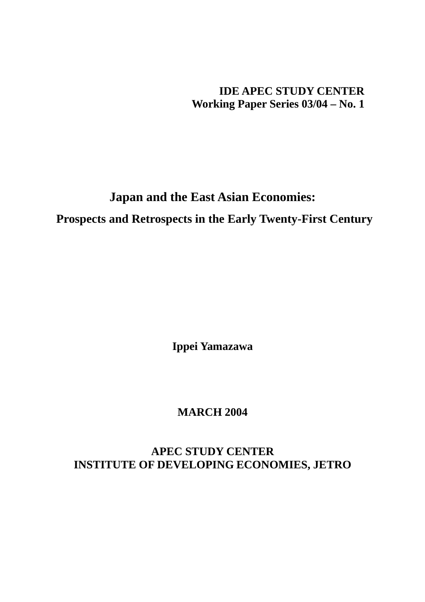**IDE APEC STUDY CENTER Working Paper Series 03/04 – No. 1** 

# **Japan and the East Asian Economies: Prospects and Retrospects in the Early Twenty-First Century**

**Ippei Yamazawa** 

# **MARCH 2004**

**APEC STUDY CENTER INSTITUTE OF DEVELOPING ECONOMIES, JETRO**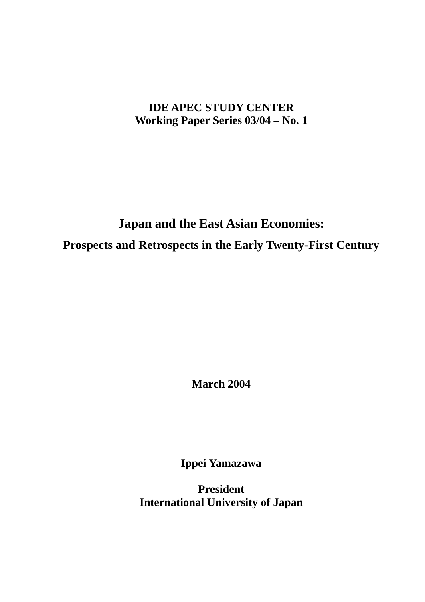# **IDE APEC STUDY CENTER Working Paper Series 03/04 – No. 1**

# **Japan and the East Asian Economies: Prospects and Retrospects in the Early Twenty-First Century**

**March 2004** 

**Ippei Yamazawa** 

**President International University of Japan**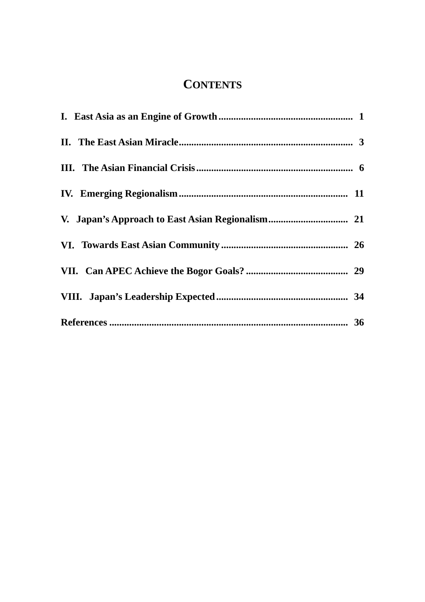# **CONTENTS**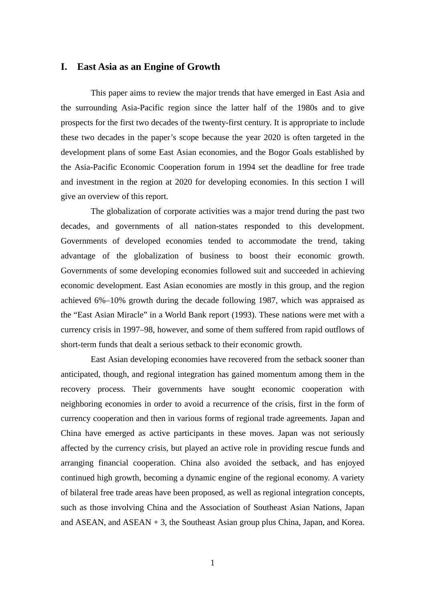# **I. East Asia as an Engine of Growth**

This paper aims to review the major trends that have emerged in East Asia and the surrounding Asia-Pacific region since the latter half of the 1980s and to give prospects for the first two decades of the twenty-first century. It is appropriate to include these two decades in the paper's scope because the year 2020 is often targeted in the development plans of some East Asian economies, and the Bogor Goals established by the Asia-Pacific Economic Cooperation forum in 1994 set the deadline for free trade and investment in the region at 2020 for developing economies. In this section I will give an overview of this report.

The globalization of corporate activities was a major trend during the past two decades, and governments of all nation-states responded to this development. Governments of developed economies tended to accommodate the trend, taking advantage of the globalization of business to boost their economic growth. Governments of some developing economies followed suit and succeeded in achieving economic development. East Asian economies are mostly in this group, and the region achieved 6%–10% growth during the decade following 1987, which was appraised as the "East Asian Miracle" in a World Bank report (1993). These nations were met with a currency crisis in 1997–98, however, and some of them suffered from rapid outflows of short-term funds that dealt a serious setback to their economic growth.

East Asian developing economies have recovered from the setback sooner than anticipated, though, and regional integration has gained momentum among them in the recovery process. Their governments have sought economic cooperation with neighboring economies in order to avoid a recurrence of the crisis, first in the form of currency cooperation and then in various forms of regional trade agreements. Japan and China have emerged as active participants in these moves. Japan was not seriously affected by the currency crisis, but played an active role in providing rescue funds and arranging financial cooperation. China also avoided the setback, and has enjoyed continued high growth, becoming a dynamic engine of the regional economy. A variety of bilateral free trade areas have been proposed, as well as regional integration concepts, such as those involving China and the Association of Southeast Asian Nations, Japan and ASEAN, and ASEAN + 3, the Southeast Asian group plus China, Japan, and Korea.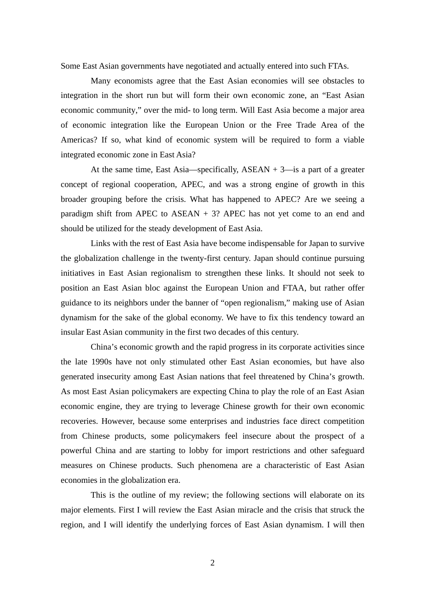Some East Asian governments have negotiated and actually entered into such FTAs.

Many economists agree that the East Asian economies will see obstacles to integration in the short run but will form their own economic zone, an "East Asian economic community," over the mid- to long term. Will East Asia become a major area of economic integration like the European Union or the Free Trade Area of the Americas? If so, what kind of economic system will be required to form a viable integrated economic zone in East Asia?

At the same time, East Asia—specifically,  $ASEAN + 3$ —is a part of a greater concept of regional cooperation, APEC, and was a strong engine of growth in this broader grouping before the crisis. What has happened to APEC? Are we seeing a paradigm shift from APEC to  $ASEAN + 3$ ? APEC has not yet come to an end and should be utilized for the steady development of East Asia.

Links with the rest of East Asia have become indispensable for Japan to survive the globalization challenge in the twenty-first century. Japan should continue pursuing initiatives in East Asian regionalism to strengthen these links. It should not seek to position an East Asian bloc against the European Union and FTAA, but rather offer guidance to its neighbors under the banner of "open regionalism," making use of Asian dynamism for the sake of the global economy. We have to fix this tendency toward an insular East Asian community in the first two decades of this century.

China's economic growth and the rapid progress in its corporate activities since the late 1990s have not only stimulated other East Asian economies, but have also generated insecurity among East Asian nations that feel threatened by China's growth. As most East Asian policymakers are expecting China to play the role of an East Asian economic engine, they are trying to leverage Chinese growth for their own economic recoveries. However, because some enterprises and industries face direct competition from Chinese products, some policymakers feel insecure about the prospect of a powerful China and are starting to lobby for import restrictions and other safeguard measures on Chinese products. Such phenomena are a characteristic of East Asian economies in the globalization era.

This is the outline of my review; the following sections will elaborate on its major elements. First I will review the East Asian miracle and the crisis that struck the region, and I will identify the underlying forces of East Asian dynamism. I will then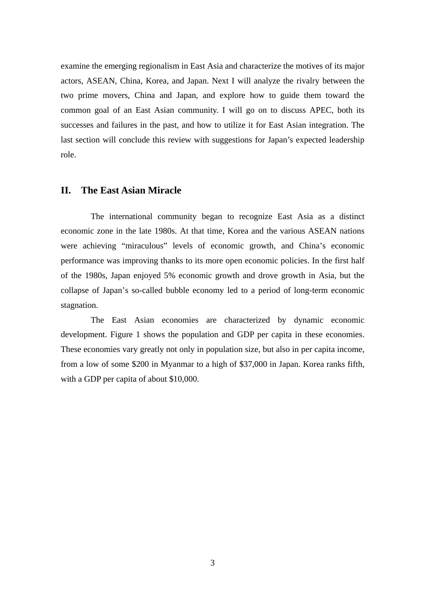examine the emerging regionalism in East Asia and characterize the motives of its major actors, ASEAN, China, Korea, and Japan. Next I will analyze the rivalry between the two prime movers, China and Japan, and explore how to guide them toward the common goal of an East Asian community. I will go on to discuss APEC, both its successes and failures in the past, and how to utilize it for East Asian integration. The last section will conclude this review with suggestions for Japan's expected leadership role.

## **II. The East Asian Miracle**

The international community began to recognize East Asia as a distinct economic zone in the late 1980s. At that time, Korea and the various ASEAN nations were achieving "miraculous" levels of economic growth, and China's economic performance was improving thanks to its more open economic policies. In the first half of the 1980s, Japan enjoyed 5% economic growth and drove growth in Asia, but the collapse of Japan's so-called bubble economy led to a period of long-term economic stagnation.

The East Asian economies are characterized by dynamic economic development. Figure 1 shows the population and GDP per capita in these economies. These economies vary greatly not only in population size, but also in per capita income, from a low of some \$200 in Myanmar to a high of \$37,000 in Japan. Korea ranks fifth, with a GDP per capita of about \$10,000.

3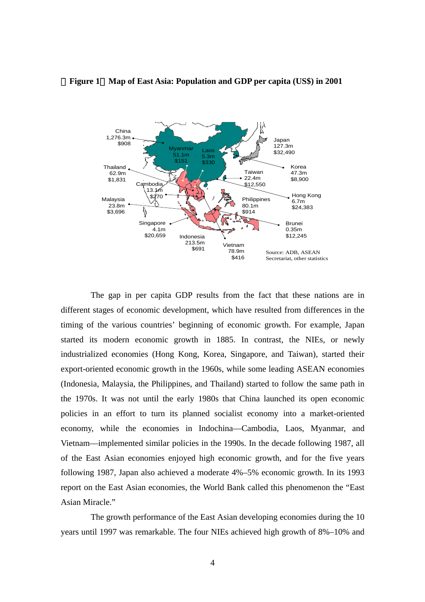

## **Figure 1** Map of East Asia: Population and GDP per capita (US\$) in 2001

The gap in per capita GDP results from the fact that these nations are in different stages of economic development, which have resulted from differences in the timing of the various countries' beginning of economic growth. For example, Japan started its modern economic growth in 1885. In contrast, the NIEs, or newly industrialized economies (Hong Kong, Korea, Singapore, and Taiwan), started their export-oriented economic growth in the 1960s, while some leading ASEAN economies (Indonesia, Malaysia, the Philippines, and Thailand) started to follow the same path in the 1970s. It was not until the early 1980s that China launched its open economic policies in an effort to turn its planned socialist economy into a market-oriented economy, while the economies in Indochina—Cambodia, Laos, Myanmar, and Vietnam—implemented similar policies in the 1990s. In the decade following 1987, all of the East Asian economies enjoyed high economic growth, and for the five years following 1987, Japan also achieved a moderate 4%–5% economic growth. In its 1993 report on the East Asian economies, the World Bank called this phenomenon the "East Asian Miracle."

The growth performance of the East Asian developing economies during the 10 years until 1997 was remarkable. The four NIEs achieved high growth of 8%–10% and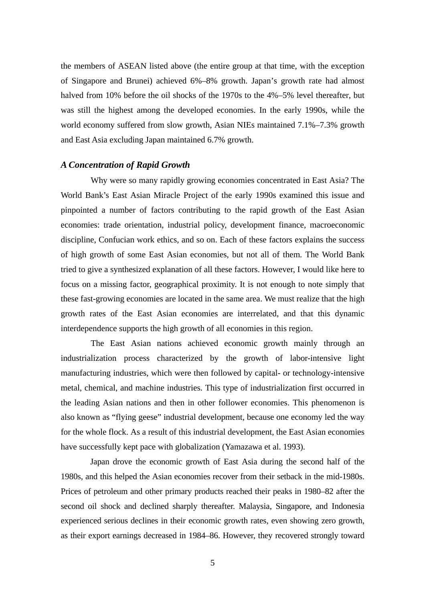the members of ASEAN listed above (the entire group at that time, with the exception of Singapore and Brunei) achieved 6%–8% growth. Japan's growth rate had almost halved from 10% before the oil shocks of the 1970s to the 4%–5% level thereafter, but was still the highest among the developed economies. In the early 1990s, while the world economy suffered from slow growth, Asian NIEs maintained 7.1%–7.3% growth and East Asia excluding Japan maintained 6.7% growth.

## *A Concentration of Rapid Growth*

Why were so many rapidly growing economies concentrated in East Asia? The World Bank's East Asian Miracle Project of the early 1990s examined this issue and pinpointed a number of factors contributing to the rapid growth of the East Asian economies: trade orientation, industrial policy, development finance, macroeconomic discipline, Confucian work ethics, and so on. Each of these factors explains the success of high growth of some East Asian economies, but not all of them. The World Bank tried to give a synthesized explanation of all these factors. However, I would like here to focus on a missing factor, geographical proximity. It is not enough to note simply that these fast-growing economies are located in the same area. We must realize that the high growth rates of the East Asian economies are interrelated, and that this dynamic interdependence supports the high growth of all economies in this region.

The East Asian nations achieved economic growth mainly through an industrialization process characterized by the growth of labor-intensive light manufacturing industries, which were then followed by capital- or technology-intensive metal, chemical, and machine industries. This type of industrialization first occurred in the leading Asian nations and then in other follower economies. This phenomenon is also known as "flying geese" industrial development, because one economy led the way for the whole flock. As a result of this industrial development, the East Asian economies have successfully kept pace with globalization (Yamazawa et al. 1993).

Japan drove the economic growth of East Asia during the second half of the 1980s, and this helped the Asian economies recover from their setback in the mid-1980s. Prices of petroleum and other primary products reached their peaks in 1980–82 after the second oil shock and declined sharply thereafter. Malaysia, Singapore, and Indonesia experienced serious declines in their economic growth rates, even showing zero growth, as their export earnings decreased in 1984–86. However, they recovered strongly toward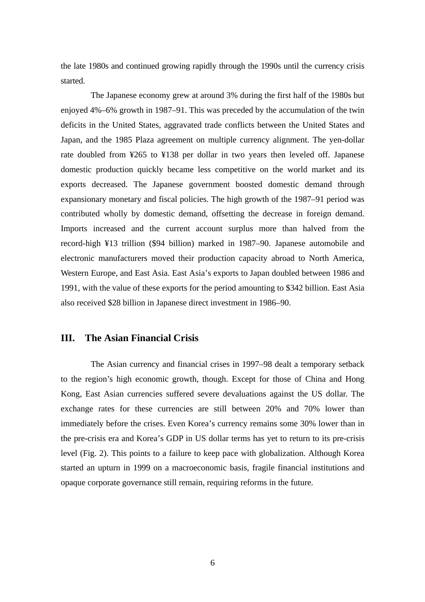the late 1980s and continued growing rapidly through the 1990s until the currency crisis started.

The Japanese economy grew at around 3% during the first half of the 1980s but enjoyed 4%–6% growth in 1987–91. This was preceded by the accumulation of the twin deficits in the United States, aggravated trade conflicts between the United States and Japan, and the 1985 Plaza agreement on multiple currency alignment. The yen-dollar rate doubled from ¥265 to ¥138 per dollar in two years then leveled off. Japanese domestic production quickly became less competitive on the world market and its exports decreased. The Japanese government boosted domestic demand through expansionary monetary and fiscal policies. The high growth of the 1987–91 period was contributed wholly by domestic demand, offsetting the decrease in foreign demand. Imports increased and the current account surplus more than halved from the record-high ¥13 trillion (\$94 billion) marked in 1987–90. Japanese automobile and electronic manufacturers moved their production capacity abroad to North America, Western Europe, and East Asia. East Asia's exports to Japan doubled between 1986 and 1991, with the value of these exports for the period amounting to \$342 billion. East Asia also received \$28 billion in Japanese direct investment in 1986–90.

# **III. The Asian Financial Crisis**

The Asian currency and financial crises in 1997–98 dealt a temporary setback to the region's high economic growth, though. Except for those of China and Hong Kong, East Asian currencies suffered severe devaluations against the US dollar. The exchange rates for these currencies are still between 20% and 70% lower than immediately before the crises. Even Korea's currency remains some 30% lower than in the pre-crisis era and Korea's GDP in US dollar terms has yet to return to its pre-crisis level (Fig. 2). This points to a failure to keep pace with globalization. Although Korea started an upturn in 1999 on a macroeconomic basis, fragile financial institutions and opaque corporate governance still remain, requiring reforms in the future.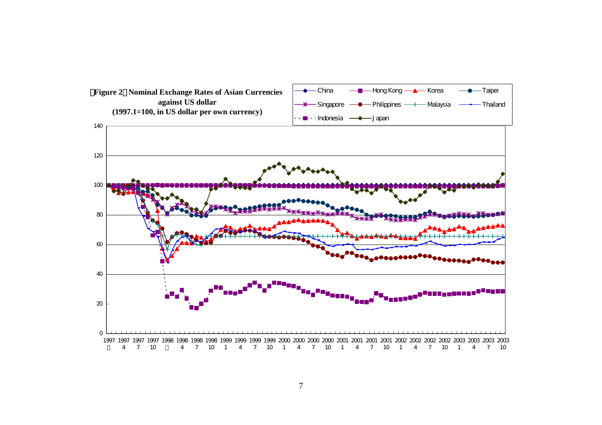

7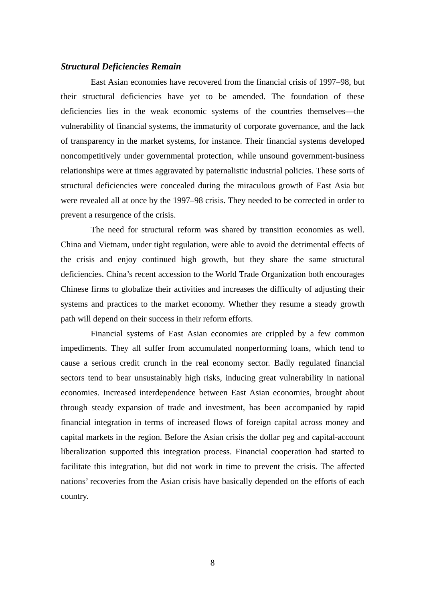## *Structural Deficiencies Remain*

East Asian economies have recovered from the financial crisis of 1997–98, but their structural deficiencies have yet to be amended. The foundation of these deficiencies lies in the weak economic systems of the countries themselves—the vulnerability of financial systems, the immaturity of corporate governance, and the lack of transparency in the market systems, for instance. Their financial systems developed noncompetitively under governmental protection, while unsound government-business relationships were at times aggravated by paternalistic industrial policies. These sorts of structural deficiencies were concealed during the miraculous growth of East Asia but were revealed all at once by the 1997–98 crisis. They needed to be corrected in order to prevent a resurgence of the crisis.

The need for structural reform was shared by transition economies as well. China and Vietnam, under tight regulation, were able to avoid the detrimental effects of the crisis and enjoy continued high growth, but they share the same structural deficiencies. China's recent accession to the World Trade Organization both encourages Chinese firms to globalize their activities and increases the difficulty of adjusting their systems and practices to the market economy. Whether they resume a steady growth path will depend on their success in their reform efforts.

Financial systems of East Asian economies are crippled by a few common impediments. They all suffer from accumulated nonperforming loans, which tend to cause a serious credit crunch in the real economy sector. Badly regulated financial sectors tend to bear unsustainably high risks, inducing great vulnerability in national economies. Increased interdependence between East Asian economies, brought about through steady expansion of trade and investment, has been accompanied by rapid financial integration in terms of increased flows of foreign capital across money and capital markets in the region. Before the Asian crisis the dollar peg and capital-account liberalization supported this integration process. Financial cooperation had started to facilitate this integration, but did not work in time to prevent the crisis. The affected nations' recoveries from the Asian crisis have basically depended on the efforts of each country.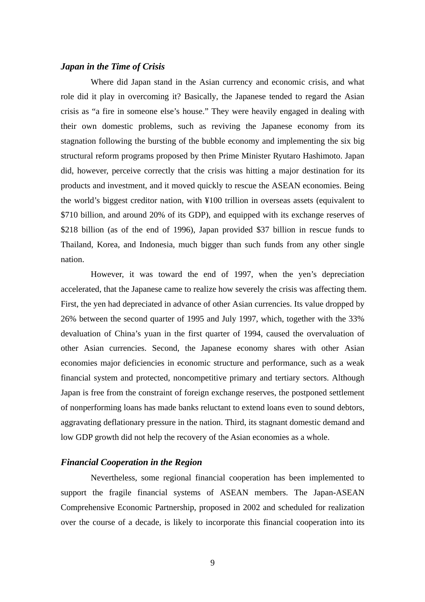# *Japan in the Time of Crisis*

Where did Japan stand in the Asian currency and economic crisis, and what role did it play in overcoming it? Basically, the Japanese tended to regard the Asian crisis as "a fire in someone else's house." They were heavily engaged in dealing with their own domestic problems, such as reviving the Japanese economy from its stagnation following the bursting of the bubble economy and implementing the six big structural reform programs proposed by then Prime Minister Ryutaro Hashimoto. Japan did, however, perceive correctly that the crisis was hitting a major destination for its products and investment, and it moved quickly to rescue the ASEAN economies. Being the world's biggest creditor nation, with ¥100 trillion in overseas assets (equivalent to \$710 billion, and around 20% of its GDP), and equipped with its exchange reserves of \$218 billion (as of the end of 1996), Japan provided \$37 billion in rescue funds to Thailand, Korea, and Indonesia, much bigger than such funds from any other single nation.

However, it was toward the end of 1997, when the yen's depreciation accelerated, that the Japanese came to realize how severely the crisis was affecting them. First, the yen had depreciated in advance of other Asian currencies. Its value dropped by 26% between the second quarter of 1995 and July 1997, which, together with the 33% devaluation of China's yuan in the first quarter of 1994, caused the overvaluation of other Asian currencies. Second, the Japanese economy shares with other Asian economies major deficiencies in economic structure and performance, such as a weak financial system and protected, noncompetitive primary and tertiary sectors. Although Japan is free from the constraint of foreign exchange reserves, the postponed settlement of nonperforming loans has made banks reluctant to extend loans even to sound debtors, aggravating deflationary pressure in the nation. Third, its stagnant domestic demand and low GDP growth did not help the recovery of the Asian economies as a whole.

## *Financial Cooperation in the Region*

Nevertheless, some regional financial cooperation has been implemented to support the fragile financial systems of ASEAN members. The Japan-ASEAN Comprehensive Economic Partnership, proposed in 2002 and scheduled for realization over the course of a decade, is likely to incorporate this financial cooperation into its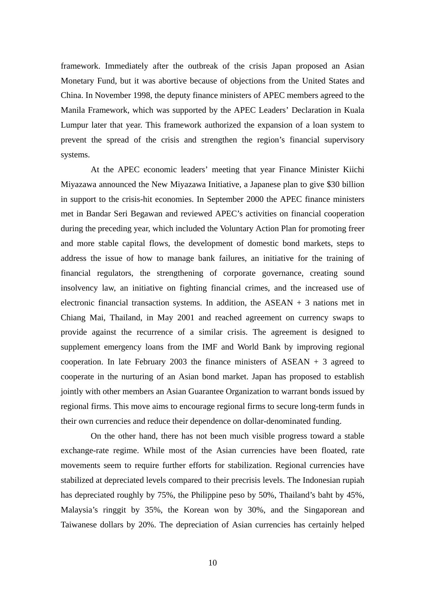framework. Immediately after the outbreak of the crisis Japan proposed an Asian Monetary Fund, but it was abortive because of objections from the United States and China. In November 1998, the deputy finance ministers of APEC members agreed to the Manila Framework, which was supported by the APEC Leaders' Declaration in Kuala Lumpur later that year. This framework authorized the expansion of a loan system to prevent the spread of the crisis and strengthen the region's financial supervisory systems.

At the APEC economic leaders' meeting that year Finance Minister Kiichi Miyazawa announced the New Miyazawa Initiative, a Japanese plan to give \$30 billion in support to the crisis-hit economies. In September 2000 the APEC finance ministers met in Bandar Seri Begawan and reviewed APEC's activities on financial cooperation during the preceding year, which included the Voluntary Action Plan for promoting freer and more stable capital flows, the development of domestic bond markets, steps to address the issue of how to manage bank failures, an initiative for the training of financial regulators, the strengthening of corporate governance, creating sound insolvency law, an initiative on fighting financial crimes, and the increased use of electronic financial transaction systems. In addition, the ASEAN  $+$  3 nations met in Chiang Mai, Thailand, in May 2001 and reached agreement on currency swaps to provide against the recurrence of a similar crisis. The agreement is designed to supplement emergency loans from the IMF and World Bank by improving regional cooperation. In late February 2003 the finance ministers of  $ASEAN + 3$  agreed to cooperate in the nurturing of an Asian bond market. Japan has proposed to establish jointly with other members an Asian Guarantee Organization to warrant bonds issued by regional firms. This move aims to encourage regional firms to secure long-term funds in their own currencies and reduce their dependence on dollar-denominated funding.

On the other hand, there has not been much visible progress toward a stable exchange-rate regime. While most of the Asian currencies have been floated, rate movements seem to require further efforts for stabilization. Regional currencies have stabilized at depreciated levels compared to their precrisis levels. The Indonesian rupiah has depreciated roughly by 75%, the Philippine peso by 50%, Thailand's baht by 45%, Malaysia's ringgit by 35%, the Korean won by 30%, and the Singaporean and Taiwanese dollars by 20%. The depreciation of Asian currencies has certainly helped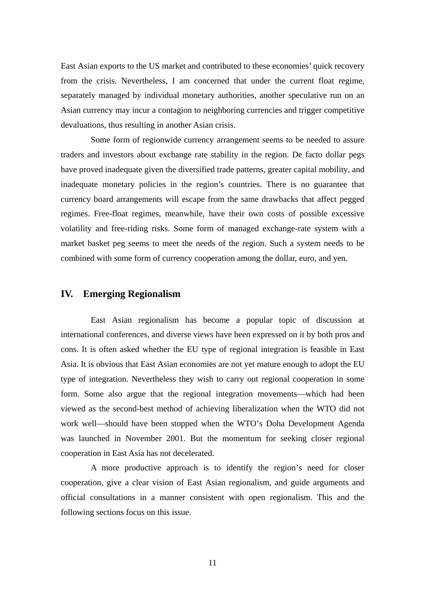East Asian exports to the US market and contributed to these economies' quick recovery from the crisis. Nevertheless, I am concerned that under the current float regime, separately managed by individual monetary authorities, another speculative run on an Asian currency may incur a contagion to neighboring currencies and trigger competitive devaluations, thus resulting in another Asian crisis.

Some form of regionwide currency arrangement seems to be needed to assure traders and investors about exchange rate stability in the region. De facto dollar pegs have proved inadequate given the diversified trade patterns, greater capital mobility, and inadequate monetary policies in the region's countries. There is no guarantee that currency board arrangements will escape from the same drawbacks that affect pegged regimes. Free-float regimes, meanwhile, have their own costs of possible excessive volatility and free-riding risks. Some form of managed exchange-rate system with a market basket peg seems to meet the needs of the region. Such a system needs to be combined with some form of currency cooperation among the dollar, euro, and yen.

# **IV. Emerging Regionalism**

East Asian regionalism has become a popular topic of discussion at international conferences, and diverse views have been expressed on it by both pros and cons. It is often asked whether the EU type of regional integration is feasible in East Asia. It is obvious that East Asian economies are not yet mature enough to adopt the EU type of integration. Nevertheless they wish to carry out regional cooperation in some form. Some also argue that the regional integration movements—which had been viewed as the second-best method of achieving liberalization when the WTO did not work well—should have been stopped when the WTO's Doha Development Agenda was launched in November 2001. But the momentum for seeking closer regional cooperation in East Asia has not decelerated.

A more productive approach is to identify the region's need for closer cooperation, give a clear vision of East Asian regionalism, and guide arguments and official consultations in a manner consistent with open regionalism. This and the following sections focus on this issue.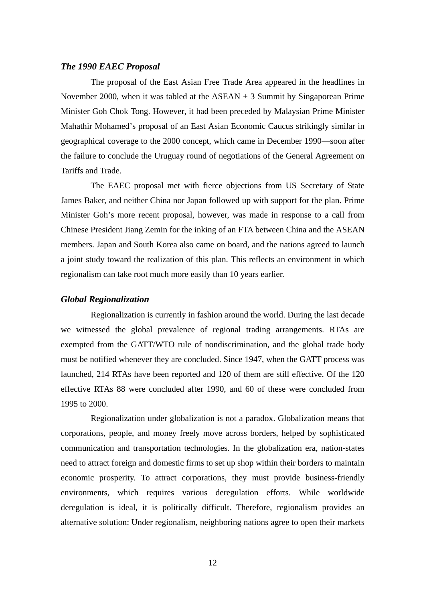# *The 1990 EAEC Proposal*

The proposal of the East Asian Free Trade Area appeared in the headlines in November 2000, when it was tabled at the ASEAN + 3 Summit by Singaporean Prime Minister Goh Chok Tong. However, it had been preceded by Malaysian Prime Minister Mahathir Mohamed's proposal of an East Asian Economic Caucus strikingly similar in geographical coverage to the 2000 concept, which came in December 1990—soon after the failure to conclude the Uruguay round of negotiations of the General Agreement on Tariffs and Trade.

The EAEC proposal met with fierce objections from US Secretary of State James Baker, and neither China nor Japan followed up with support for the plan. Prime Minister Goh's more recent proposal, however, was made in response to a call from Chinese President Jiang Zemin for the inking of an FTA between China and the ASEAN members. Japan and South Korea also came on board, and the nations agreed to launch a joint study toward the realization of this plan. This reflects an environment in which regionalism can take root much more easily than 10 years earlier.

## *Global Regionalization*

Regionalization is currently in fashion around the world. During the last decade we witnessed the global prevalence of regional trading arrangements. RTAs are exempted from the GATT/WTO rule of nondiscrimination, and the global trade body must be notified whenever they are concluded. Since 1947, when the GATT process was launched, 214 RTAs have been reported and 120 of them are still effective. Of the 120 effective RTAs 88 were concluded after 1990, and 60 of these were concluded from 1995 to 2000.

Regionalization under globalization is not a paradox. Globalization means that corporations, people, and money freely move across borders, helped by sophisticated communication and transportation technologies. In the globalization era, nation-states need to attract foreign and domestic firms to set up shop within their borders to maintain economic prosperity. To attract corporations, they must provide business-friendly environments, which requires various deregulation efforts. While worldwide deregulation is ideal, it is politically difficult. Therefore, regionalism provides an alternative solution: Under regionalism, neighboring nations agree to open their markets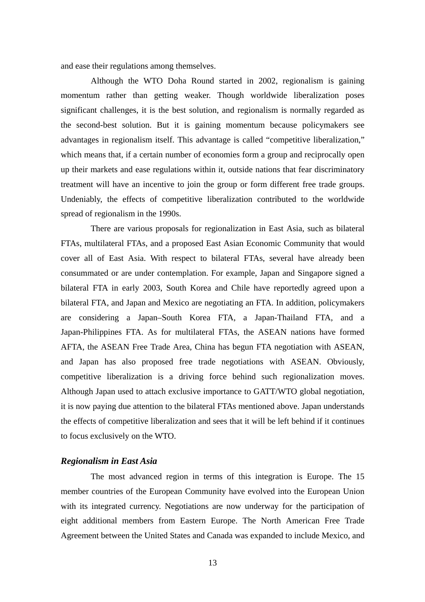and ease their regulations among themselves.

Although the WTO Doha Round started in 2002, regionalism is gaining momentum rather than getting weaker. Though worldwide liberalization poses significant challenges, it is the best solution, and regionalism is normally regarded as the second-best solution. But it is gaining momentum because policymakers see advantages in regionalism itself. This advantage is called "competitive liberalization," which means that, if a certain number of economies form a group and reciprocally open up their markets and ease regulations within it, outside nations that fear discriminatory treatment will have an incentive to join the group or form different free trade groups. Undeniably, the effects of competitive liberalization contributed to the worldwide spread of regionalism in the 1990s.

There are various proposals for regionalization in East Asia, such as bilateral FTAs, multilateral FTAs, and a proposed East Asian Economic Community that would cover all of East Asia. With respect to bilateral FTAs, several have already been consummated or are under contemplation. For example, Japan and Singapore signed a bilateral FTA in early 2003, South Korea and Chile have reportedly agreed upon a bilateral FTA, and Japan and Mexico are negotiating an FTA. In addition, policymakers are considering a Japan–South Korea FTA, a Japan-Thailand FTA, and a Japan-Philippines FTA. As for multilateral FTAs, the ASEAN nations have formed AFTA, the ASEAN Free Trade Area, China has begun FTA negotiation with ASEAN, and Japan has also proposed free trade negotiations with ASEAN. Obviously, competitive liberalization is a driving force behind such regionalization moves. Although Japan used to attach exclusive importance to GATT/WTO global negotiation, it is now paying due attention to the bilateral FTAs mentioned above. Japan understands the effects of competitive liberalization and sees that it will be left behind if it continues to focus exclusively on the WTO.

## *Regionalism in East Asia*

The most advanced region in terms of this integration is Europe. The 15 member countries of the European Community have evolved into the European Union with its integrated currency. Negotiations are now underway for the participation of eight additional members from Eastern Europe. The North American Free Trade Agreement between the United States and Canada was expanded to include Mexico, and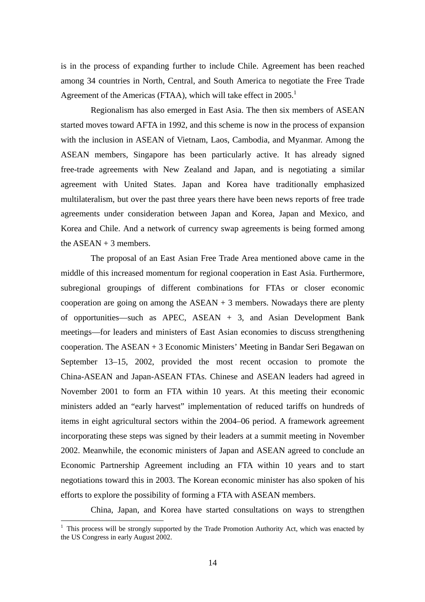is in the process of expanding further to include Chile. Agreement has been reached among 34 countries in North, Central, and South America to negotiate the Free Trade Agreement of the Americas (FTAA), which will take effect in  $2005$ .<sup>1</sup>

Regionalism has also emerged in East Asia. The then six members of ASEAN started moves toward AFTA in 1992, and this scheme is now in the process of expansion with the inclusion in ASEAN of Vietnam, Laos, Cambodia, and Myanmar. Among the ASEAN members, Singapore has been particularly active. It has already signed free-trade agreements with New Zealand and Japan, and is negotiating a similar agreement with United States. Japan and Korea have traditionally emphasized multilateralism, but over the past three years there have been news reports of free trade agreements under consideration between Japan and Korea, Japan and Mexico, and Korea and Chile. And a network of currency swap agreements is being formed among the  $ASFAN + 3$  members.

The proposal of an East Asian Free Trade Area mentioned above came in the middle of this increased momentum for regional cooperation in East Asia. Furthermore, subregional groupings of different combinations for FTAs or closer economic cooperation are going on among the ASEAN + 3 members. Nowadays there are plenty of opportunities—such as APEC, ASEAN + 3, and Asian Development Bank meetings—for leaders and ministers of East Asian economies to discuss strengthening cooperation. The ASEAN + 3 Economic Ministers' Meeting in Bandar Seri Begawan on September 13–15, 2002, provided the most recent occasion to promote the China-ASEAN and Japan-ASEAN FTAs. Chinese and ASEAN leaders had agreed in November 2001 to form an FTA within 10 years. At this meeting their economic ministers added an "early harvest" implementation of reduced tariffs on hundreds of items in eight agricultural sectors within the 2004–06 period. A framework agreement incorporating these steps was signed by their leaders at a summit meeting in November 2002. Meanwhile, the economic ministers of Japan and ASEAN agreed to conclude an Economic Partnership Agreement including an FTA within 10 years and to start negotiations toward this in 2003. The Korean economic minister has also spoken of his efforts to explore the possibility of forming a FTA with ASEAN members.

China, Japan, and Korea have started consultations on ways to strengthen

 $\overline{a}$ 

<sup>&</sup>lt;sup>1</sup> This process will be strongly supported by the Trade Promotion Authority Act, which was enacted by the US Congress in early August 2002.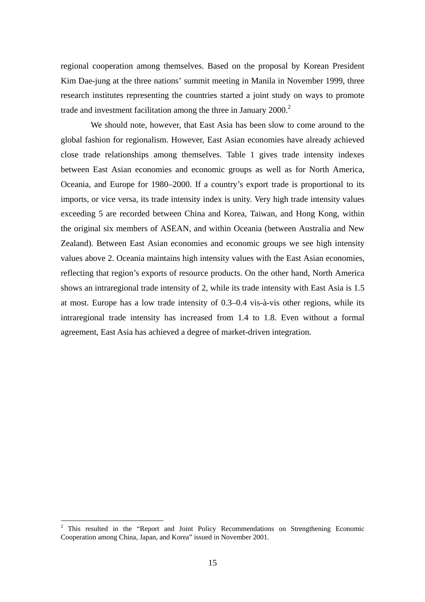regional cooperation among themselves. Based on the proposal by Korean President Kim Dae-jung at the three nations' summit meeting in Manila in November 1999, three research institutes representing the countries started a joint study on ways to promote trade and investment facilitation among the three in January  $2000<sup>2</sup>$ 

We should note, however, that East Asia has been slow to come around to the global fashion for regionalism. However, East Asian economies have already achieved close trade relationships among themselves. Table 1 gives trade intensity indexes between East Asian economies and economic groups as well as for North America, Oceania, and Europe for 1980–2000. If a country's export trade is proportional to its imports, or vice versa, its trade intensity index is unity. Very high trade intensity values exceeding 5 are recorded between China and Korea, Taiwan, and Hong Kong, within the original six members of ASEAN, and within Oceania (between Australia and New Zealand). Between East Asian economies and economic groups we see high intensity values above 2. Oceania maintains high intensity values with the East Asian economies, reflecting that region's exports of resource products. On the other hand, North America shows an intraregional trade intensity of 2, while its trade intensity with East Asia is 1.5 at most. Europe has a low trade intensity of 0.3–0.4 vis-à-vis other regions, while its intraregional trade intensity has increased from 1.4 to 1.8. Even without a formal agreement, East Asia has achieved a degree of market-driven integration.

 $\overline{a}$ 

 $2$  This resulted in the "Report and Joint Policy Recommendations on Strengthening Economic Cooperation among China, Japan, and Korea" issued in November 2001.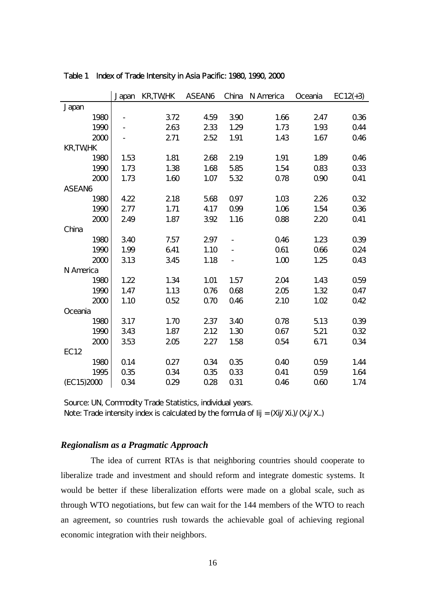|                |      | Japan | <b>KR,TWHK</b> | ASEAN6 | China | N America       | Oceania         | $EC12(+3)$      |
|----------------|------|-------|----------------|--------|-------|-----------------|-----------------|-----------------|
| Japan          |      |       |                |        |       |                 |                 |                 |
|                | 1980 |       | 372            | 4.59   | 390   | 1.66            | 247             | 036             |
|                | 1990 |       | 263            | 233    | 1.29  | 1.73            | 1.93            | <b>044</b>      |
|                | 2000 |       | 271            | 252    | 1.91  | 1.43            | 1.67            | Q46             |
| <b>KR,TWHK</b> |      |       |                |        |       |                 |                 |                 |
|                | 1980 | 1.53  | 1.81           | 268    | 219   | 1.91            | 1.89            | Q46             |
|                | 1990 | 1.73  | 1.38           | 1.68   | 585   | 1.54            | Q83             | Q33             |
|                | 2000 | 1.73  | 1.60           | 1.07   | 532   | Q78             | 090             | Q41             |
| ASEAN6         |      |       |                |        |       |                 |                 |                 |
|                | 1980 | 4.22  | 218            | 568    | Q97   | 1.03            | 226             | Q32             |
|                | 1990 | 277   | 1.71           | 4.17   | Q99   | 1.06            | 1.54            | Q36             |
|                | 2000 | 249   | 1.87           | 392    | 1.16  | Q88             | 220             | Q41             |
| China          |      |       |                |        |       |                 |                 |                 |
|                | 1980 | 340   | 7.57           | 297    |       | Q46             | 1.23            | Q39             |
|                | 1990 | 1.99  | 641            | 1.10   |       | Q61             | 066             | 0.24            |
|                | 2000 | 313   | 345            | 1.18   |       | 1.00            | 1.25            | Q43             |
| N America      |      |       |                |        |       |                 |                 |                 |
|                | 1980 | 1.22  | 1.34           | 1.01   | 1.57  | 204             | 1.43            | Q <sub>59</sub> |
|                | 1990 | 1.47  | 1.13           | Q76    | Q68   | 205             | 1.32            | Q47             |
|                | 2000 | 1.10  | 052            | Q70    | Q46   | 210             | 1.02            | 042             |
| Oceania        |      |       |                |        |       |                 |                 |                 |
|                | 1980 | 317   | 1.70           | 237    | 340   | Q78             | 5.13            | Q39             |
|                | 1990 | 343   | 1.87           | 212    | 1.30  | Q67             | 521             | 032             |
|                | 2000 | 353   | 205            | 227    | 1.58  | Q <sub>54</sub> | 671             | 034             |
| <b>EC12</b>    |      |       |                |        |       |                 |                 |                 |
|                | 1980 | Q14   | 0.27           | Q34    | Q35   | 040             | Q <sub>59</sub> | 1.44            |
|                | 1995 | Q35   | 0.34           | Q35    | Q33   | Q41             | Q <sub>59</sub> | 1.64            |
| (EC15)2000     |      | 034   | 0.29           | 0.28   | Q31   | Q46             | 060             | 1.74            |

Table 1 Index of Trade Intensity in Asia Pacific: 1980, 1990, 2000

Source: UN, Commodity Trade Statistics, individual years. Note: Trade intensity index is calculated by the formula of Iij =  $(Xi<sub>j</sub>/Xi<sub>j</sub>)/Xi<sub>j</sub>/Xi<sub>k</sub>$ )

# *Regionalism as a Pragmatic Approach*

The idea of current RTAs is that neighboring countries should cooperate to liberalize trade and investment and should reform and integrate domestic systems. It would be better if these liberalization efforts were made on a global scale, such as through WTO negotiations, but few can wait for the 144 members of the WTO to reach an agreement, so countries rush towards the achievable goal of achieving regional economic integration with their neighbors.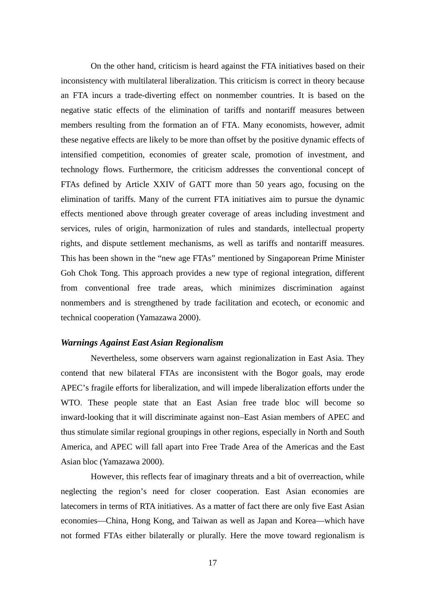On the other hand, criticism is heard against the FTA initiatives based on their inconsistency with multilateral liberalization. This criticism is correct in theory because an FTA incurs a trade-diverting effect on nonmember countries. It is based on the negative static effects of the elimination of tariffs and nontariff measures between members resulting from the formation an of FTA. Many economists, however, admit these negative effects are likely to be more than offset by the positive dynamic effects of intensified competition, economies of greater scale, promotion of investment, and technology flows. Furthermore, the criticism addresses the conventional concept of FTAs defined by Article XXIV of GATT more than 50 years ago, focusing on the elimination of tariffs. Many of the current FTA initiatives aim to pursue the dynamic effects mentioned above through greater coverage of areas including investment and services, rules of origin, harmonization of rules and standards, intellectual property rights, and dispute settlement mechanisms, as well as tariffs and nontariff measures. This has been shown in the "new age FTAs" mentioned by Singaporean Prime Minister Goh Chok Tong. This approach provides a new type of regional integration, different from conventional free trade areas, which minimizes discrimination against nonmembers and is strengthened by trade facilitation and ecotech, or economic and technical cooperation (Yamazawa 2000).

## *Warnings Against East Asian Regionalism*

Nevertheless, some observers warn against regionalization in East Asia. They contend that new bilateral FTAs are inconsistent with the Bogor goals, may erode APEC's fragile efforts for liberalization, and will impede liberalization efforts under the WTO. These people state that an East Asian free trade bloc will become so inward-looking that it will discriminate against non–East Asian members of APEC and thus stimulate similar regional groupings in other regions, especially in North and South America, and APEC will fall apart into Free Trade Area of the Americas and the East Asian bloc (Yamazawa 2000).

However, this reflects fear of imaginary threats and a bit of overreaction, while neglecting the region's need for closer cooperation. East Asian economies are latecomers in terms of RTA initiatives. As a matter of fact there are only five East Asian economies—China, Hong Kong, and Taiwan as well as Japan and Korea—which have not formed FTAs either bilaterally or plurally. Here the move toward regionalism is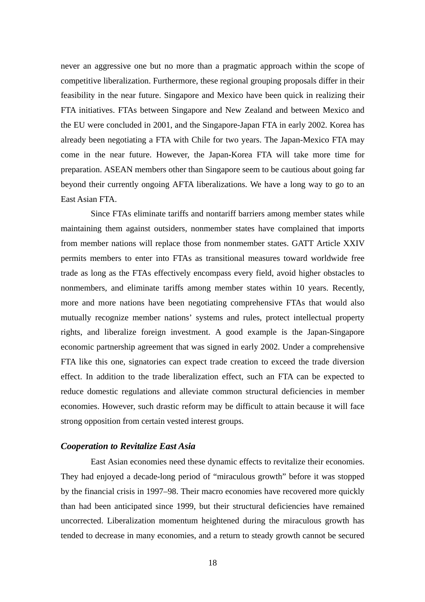never an aggressive one but no more than a pragmatic approach within the scope of competitive liberalization. Furthermore, these regional grouping proposals differ in their feasibility in the near future. Singapore and Mexico have been quick in realizing their FTA initiatives. FTAs between Singapore and New Zealand and between Mexico and the EU were concluded in 2001, and the Singapore-Japan FTA in early 2002. Korea has already been negotiating a FTA with Chile for two years. The Japan-Mexico FTA may come in the near future. However, the Japan-Korea FTA will take more time for preparation. ASEAN members other than Singapore seem to be cautious about going far beyond their currently ongoing AFTA liberalizations. We have a long way to go to an East Asian FTA.

Since FTAs eliminate tariffs and nontariff barriers among member states while maintaining them against outsiders, nonmember states have complained that imports from member nations will replace those from nonmember states. GATT Article XXIV permits members to enter into FTAs as transitional measures toward worldwide free trade as long as the FTAs effectively encompass every field, avoid higher obstacles to nonmembers, and eliminate tariffs among member states within 10 years. Recently, more and more nations have been negotiating comprehensive FTAs that would also mutually recognize member nations' systems and rules, protect intellectual property rights, and liberalize foreign investment. A good example is the Japan-Singapore economic partnership agreement that was signed in early 2002. Under a comprehensive FTA like this one, signatories can expect trade creation to exceed the trade diversion effect. In addition to the trade liberalization effect, such an FTA can be expected to reduce domestic regulations and alleviate common structural deficiencies in member economies. However, such drastic reform may be difficult to attain because it will face strong opposition from certain vested interest groups.

## *Cooperation to Revitalize East Asia*

East Asian economies need these dynamic effects to revitalize their economies. They had enjoyed a decade-long period of "miraculous growth" before it was stopped by the financial crisis in 1997–98. Their macro economies have recovered more quickly than had been anticipated since 1999, but their structural deficiencies have remained uncorrected. Liberalization momentum heightened during the miraculous growth has tended to decrease in many economies, and a return to steady growth cannot be secured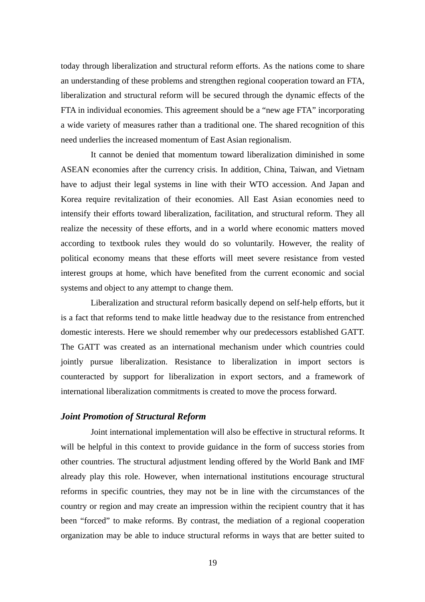today through liberalization and structural reform efforts. As the nations come to share an understanding of these problems and strengthen regional cooperation toward an FTA, liberalization and structural reform will be secured through the dynamic effects of the FTA in individual economies. This agreement should be a "new age FTA" incorporating a wide variety of measures rather than a traditional one. The shared recognition of this need underlies the increased momentum of East Asian regionalism.

It cannot be denied that momentum toward liberalization diminished in some ASEAN economies after the currency crisis. In addition, China, Taiwan, and Vietnam have to adjust their legal systems in line with their WTO accession. And Japan and Korea require revitalization of their economies. All East Asian economies need to intensify their efforts toward liberalization, facilitation, and structural reform. They all realize the necessity of these efforts, and in a world where economic matters moved according to textbook rules they would do so voluntarily. However, the reality of political economy means that these efforts will meet severe resistance from vested interest groups at home, which have benefited from the current economic and social systems and object to any attempt to change them.

Liberalization and structural reform basically depend on self-help efforts, but it is a fact that reforms tend to make little headway due to the resistance from entrenched domestic interests. Here we should remember why our predecessors established GATT. The GATT was created as an international mechanism under which countries could jointly pursue liberalization. Resistance to liberalization in import sectors is counteracted by support for liberalization in export sectors, and a framework of international liberalization commitments is created to move the process forward.

## *Joint Promotion of Structural Reform*

Joint international implementation will also be effective in structural reforms. It will be helpful in this context to provide guidance in the form of success stories from other countries. The structural adjustment lending offered by the World Bank and IMF already play this role. However, when international institutions encourage structural reforms in specific countries, they may not be in line with the circumstances of the country or region and may create an impression within the recipient country that it has been "forced" to make reforms. By contrast, the mediation of a regional cooperation organization may be able to induce structural reforms in ways that are better suited to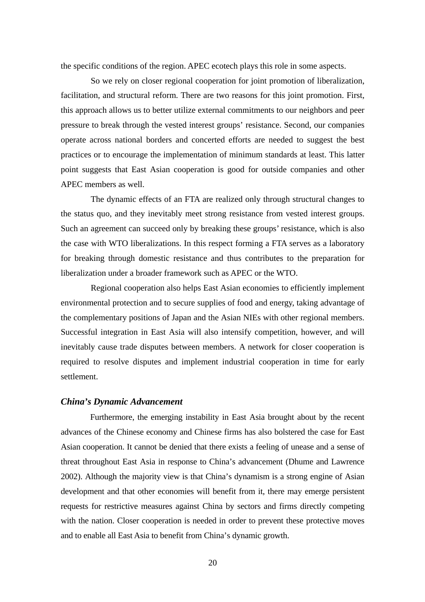the specific conditions of the region. APEC ecotech plays this role in some aspects.

So we rely on closer regional cooperation for joint promotion of liberalization, facilitation, and structural reform. There are two reasons for this joint promotion. First, this approach allows us to better utilize external commitments to our neighbors and peer pressure to break through the vested interest groups' resistance. Second, our companies operate across national borders and concerted efforts are needed to suggest the best practices or to encourage the implementation of minimum standards at least. This latter point suggests that East Asian cooperation is good for outside companies and other APEC members as well.

The dynamic effects of an FTA are realized only through structural changes to the status quo, and they inevitably meet strong resistance from vested interest groups. Such an agreement can succeed only by breaking these groups' resistance, which is also the case with WTO liberalizations. In this respect forming a FTA serves as a laboratory for breaking through domestic resistance and thus contributes to the preparation for liberalization under a broader framework such as APEC or the WTO.

Regional cooperation also helps East Asian economies to efficiently implement environmental protection and to secure supplies of food and energy, taking advantage of the complementary positions of Japan and the Asian NIEs with other regional members. Successful integration in East Asia will also intensify competition, however, and will inevitably cause trade disputes between members. A network for closer cooperation is required to resolve disputes and implement industrial cooperation in time for early settlement.

## *China's Dynamic Advancement*

Furthermore, the emerging instability in East Asia brought about by the recent advances of the Chinese economy and Chinese firms has also bolstered the case for East Asian cooperation. It cannot be denied that there exists a feeling of unease and a sense of threat throughout East Asia in response to China's advancement (Dhume and Lawrence 2002). Although the majority view is that China's dynamism is a strong engine of Asian development and that other economies will benefit from it, there may emerge persistent requests for restrictive measures against China by sectors and firms directly competing with the nation. Closer cooperation is needed in order to prevent these protective moves and to enable all East Asia to benefit from China's dynamic growth.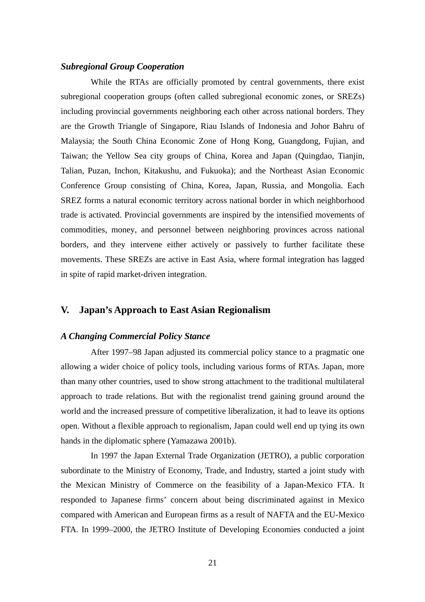## *Subregional Group Cooperation*

While the RTAs are officially promoted by central governments, there exist subregional cooperation groups (often called subregional economic zones, or SREZs) including provincial governments neighboring each other across national borders. They are the Growth Triangle of Singapore, Riau Islands of Indonesia and Johor Bahru of Malaysia; the South China Economic Zone of Hong Kong, Guangdong, Fujian, and Taiwan; the Yellow Sea city groups of China, Korea and Japan (Quingdao, Tianjin, Talian, Puzan, Inchon, Kitakushu, and Fukuoka); and the Northeast Asian Economic Conference Group consisting of China, Korea, Japan, Russia, and Mongolia. Each SREZ forms a natural economic territory across national border in which neighborhood trade is activated. Provincial governments are inspired by the intensified movements of commodities, money, and personnel between neighboring provinces across national borders, and they intervene either actively or passively to further facilitate these movements. These SREZs are active in East Asia, where formal integration has lagged in spite of rapid market-driven integration.

# **V. Japan's Approach to East Asian Regionalism**

## *A Changing Commercial Policy Stance*

After 1997–98 Japan adjusted its commercial policy stance to a pragmatic one allowing a wider choice of policy tools, including various forms of RTAs. Japan, more than many other countries, used to show strong attachment to the traditional multilateral approach to trade relations. But with the regionalist trend gaining ground around the world and the increased pressure of competitive liberalization, it had to leave its options open. Without a flexible approach to regionalism, Japan could well end up tying its own hands in the diplomatic sphere (Yamazawa 2001b).

In 1997 the Japan External Trade Organization (JETRO), a public corporation subordinate to the Ministry of Economy, Trade, and Industry, started a joint study with the Mexican Ministry of Commerce on the feasibility of a Japan-Mexico FTA. It responded to Japanese firms' concern about being discriminated against in Mexico compared with American and European firms as a result of NAFTA and the EU-Mexico FTA. In 1999–2000, the JETRO Institute of Developing Economies conducted a joint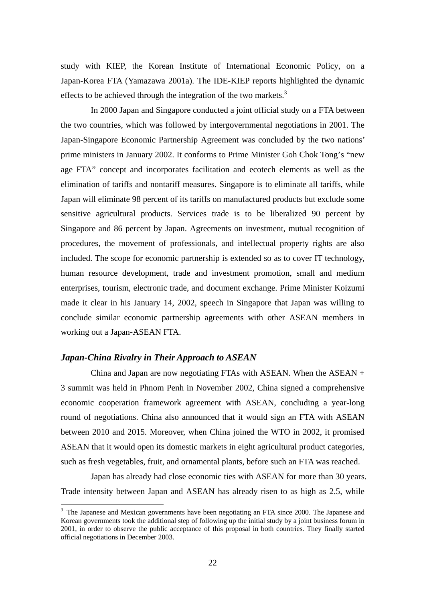study with KIEP, the Korean Institute of International Economic Policy, on a Japan-Korea FTA (Yamazawa 2001a). The IDE-KIEP reports highlighted the dynamic effects to be achieved through the integration of the two markets.<sup>3</sup>

In 2000 Japan and Singapore conducted a joint official study on a FTA between the two countries, which was followed by intergovernmental negotiations in 2001. The Japan-Singapore Economic Partnership Agreement was concluded by the two nations' prime ministers in January 2002. It conforms to Prime Minister Goh Chok Tong's "new age FTA" concept and incorporates facilitation and ecotech elements as well as the elimination of tariffs and nontariff measures. Singapore is to eliminate all tariffs, while Japan will eliminate 98 percent of its tariffs on manufactured products but exclude some sensitive agricultural products. Services trade is to be liberalized 90 percent by Singapore and 86 percent by Japan. Agreements on investment, mutual recognition of procedures, the movement of professionals, and intellectual property rights are also included. The scope for economic partnership is extended so as to cover IT technology, human resource development, trade and investment promotion, small and medium enterprises, tourism, electronic trade, and document exchange. Prime Minister Koizumi made it clear in his January 14, 2002, speech in Singapore that Japan was willing to conclude similar economic partnership agreements with other ASEAN members in working out a Japan-ASEAN FTA.

# *Japan-China Rivalry in Their Approach to ASEAN*

 $\overline{a}$ 

China and Japan are now negotiating FTAs with ASEAN. When the ASEAN  $+$ 3 summit was held in Phnom Penh in November 2002, China signed a comprehensive economic cooperation framework agreement with ASEAN, concluding a year-long round of negotiations. China also announced that it would sign an FTA with ASEAN between 2010 and 2015. Moreover, when China joined the WTO in 2002, it promised ASEAN that it would open its domestic markets in eight agricultural product categories, such as fresh vegetables, fruit, and ornamental plants, before such an FTA was reached.

Japan has already had close economic ties with ASEAN for more than 30 years. Trade intensity between Japan and ASEAN has already risen to as high as 2.5, while

<sup>&</sup>lt;sup>3</sup> The Japanese and Mexican governments have been negotiating an FTA since 2000. The Japanese and Korean governments took the additional step of following up the initial study by a joint business forum in 2001, in order to observe the public acceptance of this proposal in both countries. They finally started official negotiations in December 2003.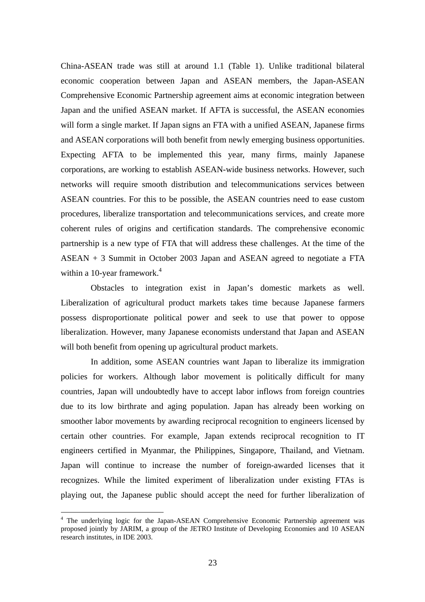China-ASEAN trade was still at around 1.1 (Table 1). Unlike traditional bilateral economic cooperation between Japan and ASEAN members, the Japan-ASEAN Comprehensive Economic Partnership agreement aims at economic integration between Japan and the unified ASEAN market. If AFTA is successful, the ASEAN economies will form a single market. If Japan signs an FTA with a unified ASEAN, Japanese firms and ASEAN corporations will both benefit from newly emerging business opportunities. Expecting AFTA to be implemented this year, many firms, mainly Japanese corporations, are working to establish ASEAN-wide business networks. However, such networks will require smooth distribution and telecommunications services between ASEAN countries. For this to be possible, the ASEAN countries need to ease custom procedures, liberalize transportation and telecommunications services, and create more coherent rules of origins and certification standards. The comprehensive economic partnership is a new type of FTA that will address these challenges. At the time of the ASEAN + 3 Summit in October 2003 Japan and ASEAN agreed to negotiate a FTA within a 10-year framework. $4$ 

Obstacles to integration exist in Japan's domestic markets as well. Liberalization of agricultural product markets takes time because Japanese farmers possess disproportionate political power and seek to use that power to oppose liberalization. However, many Japanese economists understand that Japan and ASEAN will both benefit from opening up agricultural product markets.

In addition, some ASEAN countries want Japan to liberalize its immigration policies for workers. Although labor movement is politically difficult for many countries, Japan will undoubtedly have to accept labor inflows from foreign countries due to its low birthrate and aging population. Japan has already been working on smoother labor movements by awarding reciprocal recognition to engineers licensed by certain other countries. For example, Japan extends reciprocal recognition to IT engineers certified in Myanmar, the Philippines, Singapore, Thailand, and Vietnam. Japan will continue to increase the number of foreign-awarded licenses that it recognizes. While the limited experiment of liberalization under existing FTAs is playing out, the Japanese public should accept the need for further liberalization of

<sup>&</sup>lt;sup>4</sup> The underlying logic for the Japan-ASEAN Comprehensive Economic Partnership agreement was proposed jointly by JARIM, a group of the JETRO Institute of Developing Economies and 10 ASEAN research institutes, in IDE 2003.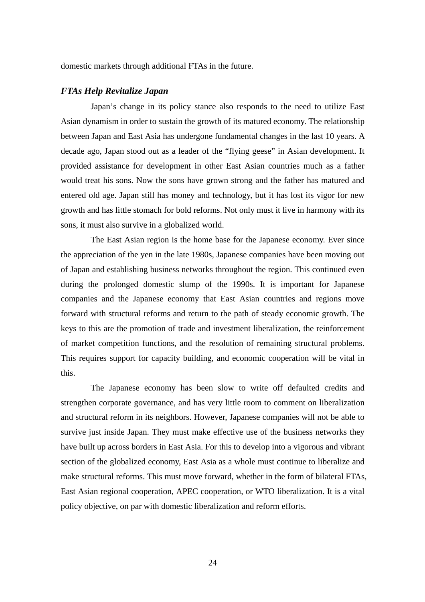domestic markets through additional FTAs in the future.

# *FTAs Help Revitalize Japan*

Japan's change in its policy stance also responds to the need to utilize East Asian dynamism in order to sustain the growth of its matured economy. The relationship between Japan and East Asia has undergone fundamental changes in the last 10 years. A decade ago, Japan stood out as a leader of the "flying geese" in Asian development. It provided assistance for development in other East Asian countries much as a father would treat his sons. Now the sons have grown strong and the father has matured and entered old age. Japan still has money and technology, but it has lost its vigor for new growth and has little stomach for bold reforms. Not only must it live in harmony with its sons, it must also survive in a globalized world.

The East Asian region is the home base for the Japanese economy. Ever since the appreciation of the yen in the late 1980s, Japanese companies have been moving out of Japan and establishing business networks throughout the region. This continued even during the prolonged domestic slump of the 1990s. It is important for Japanese companies and the Japanese economy that East Asian countries and regions move forward with structural reforms and return to the path of steady economic growth. The keys to this are the promotion of trade and investment liberalization, the reinforcement of market competition functions, and the resolution of remaining structural problems. This requires support for capacity building, and economic cooperation will be vital in this.

The Japanese economy has been slow to write off defaulted credits and strengthen corporate governance, and has very little room to comment on liberalization and structural reform in its neighbors. However, Japanese companies will not be able to survive just inside Japan. They must make effective use of the business networks they have built up across borders in East Asia. For this to develop into a vigorous and vibrant section of the globalized economy, East Asia as a whole must continue to liberalize and make structural reforms. This must move forward, whether in the form of bilateral FTAs, East Asian regional cooperation, APEC cooperation, or WTO liberalization. It is a vital policy objective, on par with domestic liberalization and reform efforts.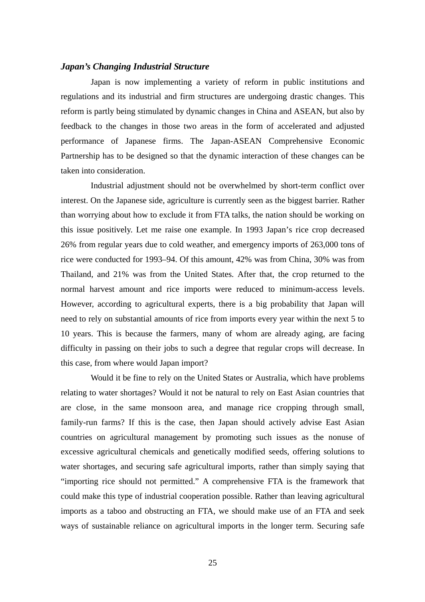## *Japan's Changing Industrial Structure*

Japan is now implementing a variety of reform in public institutions and regulations and its industrial and firm structures are undergoing drastic changes. This reform is partly being stimulated by dynamic changes in China and ASEAN, but also by feedback to the changes in those two areas in the form of accelerated and adjusted performance of Japanese firms. The Japan-ASEAN Comprehensive Economic Partnership has to be designed so that the dynamic interaction of these changes can be taken into consideration.

Industrial adjustment should not be overwhelmed by short-term conflict over interest. On the Japanese side, agriculture is currently seen as the biggest barrier. Rather than worrying about how to exclude it from FTA talks, the nation should be working on this issue positively. Let me raise one example. In 1993 Japan's rice crop decreased 26% from regular years due to cold weather, and emergency imports of 263,000 tons of rice were conducted for 1993–94. Of this amount, 42% was from China, 30% was from Thailand, and 21% was from the United States. After that, the crop returned to the normal harvest amount and rice imports were reduced to minimum-access levels. However, according to agricultural experts, there is a big probability that Japan will need to rely on substantial amounts of rice from imports every year within the next 5 to 10 years. This is because the farmers, many of whom are already aging, are facing difficulty in passing on their jobs to such a degree that regular crops will decrease. In this case, from where would Japan import?

Would it be fine to rely on the United States or Australia, which have problems relating to water shortages? Would it not be natural to rely on East Asian countries that are close, in the same monsoon area, and manage rice cropping through small, family-run farms? If this is the case, then Japan should actively advise East Asian countries on agricultural management by promoting such issues as the nonuse of excessive agricultural chemicals and genetically modified seeds, offering solutions to water shortages, and securing safe agricultural imports, rather than simply saying that "importing rice should not permitted." A comprehensive FTA is the framework that could make this type of industrial cooperation possible. Rather than leaving agricultural imports as a taboo and obstructing an FTA, we should make use of an FTA and seek ways of sustainable reliance on agricultural imports in the longer term. Securing safe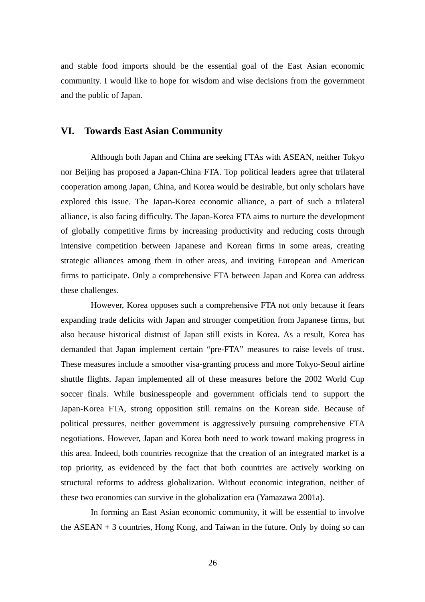and stable food imports should be the essential goal of the East Asian economic community. I would like to hope for wisdom and wise decisions from the government and the public of Japan.

# **VI. Towards East Asian Community**

Although both Japan and China are seeking FTAs with ASEAN, neither Tokyo nor Beijing has proposed a Japan-China FTA. Top political leaders agree that trilateral cooperation among Japan, China, and Korea would be desirable, but only scholars have explored this issue. The Japan-Korea economic alliance, a part of such a trilateral alliance, is also facing difficulty. The Japan-Korea FTA aims to nurture the development of globally competitive firms by increasing productivity and reducing costs through intensive competition between Japanese and Korean firms in some areas, creating strategic alliances among them in other areas, and inviting European and American firms to participate. Only a comprehensive FTA between Japan and Korea can address these challenges.

However, Korea opposes such a comprehensive FTA not only because it fears expanding trade deficits with Japan and stronger competition from Japanese firms, but also because historical distrust of Japan still exists in Korea. As a result, Korea has demanded that Japan implement certain "pre-FTA" measures to raise levels of trust. These measures include a smoother visa-granting process and more Tokyo-Seoul airline shuttle flights. Japan implemented all of these measures before the 2002 World Cup soccer finals. While businesspeople and government officials tend to support the Japan-Korea FTA, strong opposition still remains on the Korean side. Because of political pressures, neither government is aggressively pursuing comprehensive FTA negotiations. However, Japan and Korea both need to work toward making progress in this area. Indeed, both countries recognize that the creation of an integrated market is a top priority, as evidenced by the fact that both countries are actively working on structural reforms to address globalization. Without economic integration, neither of these two economies can survive in the globalization era (Yamazawa 2001a).

In forming an East Asian economic community, it will be essential to involve the  $ASEAN + 3$  countries, Hong Kong, and Taiwan in the future. Only by doing so can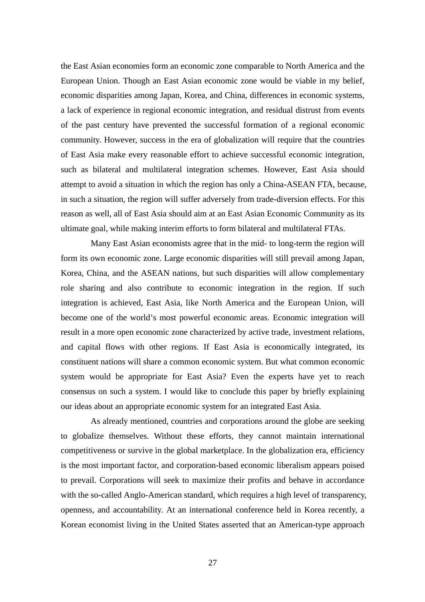the East Asian economies form an economic zone comparable to North America and the European Union. Though an East Asian economic zone would be viable in my belief, economic disparities among Japan, Korea, and China, differences in economic systems, a lack of experience in regional economic integration, and residual distrust from events of the past century have prevented the successful formation of a regional economic community. However, success in the era of globalization will require that the countries of East Asia make every reasonable effort to achieve successful economic integration, such as bilateral and multilateral integration schemes. However, East Asia should attempt to avoid a situation in which the region has only a China-ASEAN FTA, because, in such a situation, the region will suffer adversely from trade-diversion effects. For this reason as well, all of East Asia should aim at an East Asian Economic Community as its ultimate goal, while making interim efforts to form bilateral and multilateral FTAs.

Many East Asian economists agree that in the mid- to long-term the region will form its own economic zone. Large economic disparities will still prevail among Japan, Korea, China, and the ASEAN nations, but such disparities will allow complementary role sharing and also contribute to economic integration in the region. If such integration is achieved, East Asia, like North America and the European Union, will become one of the world's most powerful economic areas. Economic integration will result in a more open economic zone characterized by active trade, investment relations, and capital flows with other regions. If East Asia is economically integrated, its constituent nations will share a common economic system. But what common economic system would be appropriate for East Asia? Even the experts have yet to reach consensus on such a system. I would like to conclude this paper by briefly explaining our ideas about an appropriate economic system for an integrated East Asia.

As already mentioned, countries and corporations around the globe are seeking to globalize themselves. Without these efforts, they cannot maintain international competitiveness or survive in the global marketplace. In the globalization era, efficiency is the most important factor, and corporation-based economic liberalism appears poised to prevail. Corporations will seek to maximize their profits and behave in accordance with the so-called Anglo-American standard, which requires a high level of transparency, openness, and accountability. At an international conference held in Korea recently, a Korean economist living in the United States asserted that an American-type approach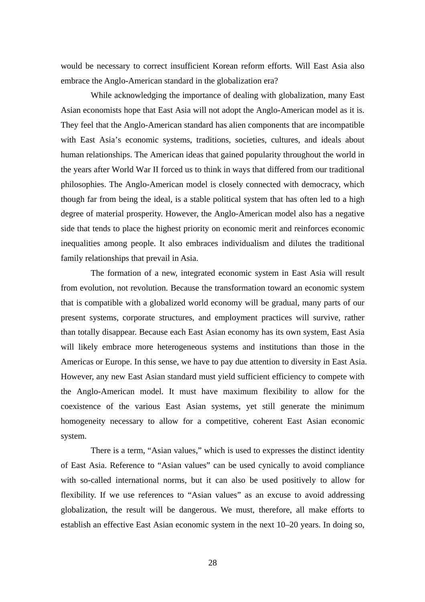would be necessary to correct insufficient Korean reform efforts. Will East Asia also embrace the Anglo-American standard in the globalization era?

While acknowledging the importance of dealing with globalization, many East Asian economists hope that East Asia will not adopt the Anglo-American model as it is. They feel that the Anglo-American standard has alien components that are incompatible with East Asia's economic systems, traditions, societies, cultures, and ideals about human relationships. The American ideas that gained popularity throughout the world in the years after World War II forced us to think in ways that differed from our traditional philosophies. The Anglo-American model is closely connected with democracy, which though far from being the ideal, is a stable political system that has often led to a high degree of material prosperity. However, the Anglo-American model also has a negative side that tends to place the highest priority on economic merit and reinforces economic inequalities among people. It also embraces individualism and dilutes the traditional family relationships that prevail in Asia.

The formation of a new, integrated economic system in East Asia will result from evolution, not revolution. Because the transformation toward an economic system that is compatible with a globalized world economy will be gradual, many parts of our present systems, corporate structures, and employment practices will survive, rather than totally disappear. Because each East Asian economy has its own system, East Asia will likely embrace more heterogeneous systems and institutions than those in the Americas or Europe. In this sense, we have to pay due attention to diversity in East Asia. However, any new East Asian standard must yield sufficient efficiency to compete with the Anglo-American model. It must have maximum flexibility to allow for the coexistence of the various East Asian systems, yet still generate the minimum homogeneity necessary to allow for a competitive, coherent East Asian economic system.

There is a term, "Asian values," which is used to expresses the distinct identity of East Asia. Reference to "Asian values" can be used cynically to avoid compliance with so-called international norms, but it can also be used positively to allow for flexibility. If we use references to "Asian values" as an excuse to avoid addressing globalization, the result will be dangerous. We must, therefore, all make efforts to establish an effective East Asian economic system in the next 10–20 years. In doing so,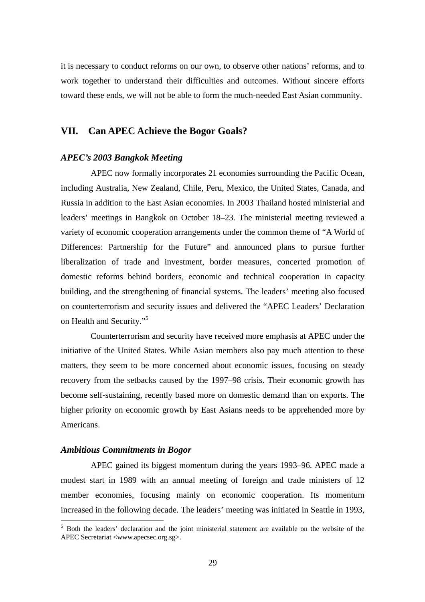it is necessary to conduct reforms on our own, to observe other nations' reforms, and to work together to understand their difficulties and outcomes. Without sincere efforts toward these ends, we will not be able to form the much-needed East Asian community.

# **VII. Can APEC Achieve the Bogor Goals?**

## *APEC's 2003 Bangkok Meeting*

APEC now formally incorporates 21 economies surrounding the Pacific Ocean, including Australia, New Zealand, Chile, Peru, Mexico, the United States, Canada, and Russia in addition to the East Asian economies. In 2003 Thailand hosted ministerial and leaders' meetings in Bangkok on October 18–23. The ministerial meeting reviewed a variety of economic cooperation arrangements under the common theme of "A World of Differences: Partnership for the Future" and announced plans to pursue further liberalization of trade and investment, border measures, concerted promotion of domestic reforms behind borders, economic and technical cooperation in capacity building, and the strengthening of financial systems. The leaders' meeting also focused on counterterrorism and security issues and delivered the "APEC Leaders' Declaration on Health and Security."5

Counterterrorism and security have received more emphasis at APEC under the initiative of the United States. While Asian members also pay much attention to these matters, they seem to be more concerned about economic issues, focusing on steady recovery from the setbacks caused by the 1997–98 crisis. Their economic growth has become self-sustaining, recently based more on domestic demand than on exports. The higher priority on economic growth by East Asians needs to be apprehended more by Americans.

## *Ambitious Commitments in Bogor*

 $\overline{a}$ 

APEC gained its biggest momentum during the years 1993–96. APEC made a modest start in 1989 with an annual meeting of foreign and trade ministers of 12 member economies, focusing mainly on economic cooperation. Its momentum increased in the following decade. The leaders' meeting was initiated in Seattle in 1993,

<sup>&</sup>lt;sup>5</sup> Both the leaders' declaration and the joint ministerial statement are available on the website of the APEC Secretariat <www.apecsec.org.sg>.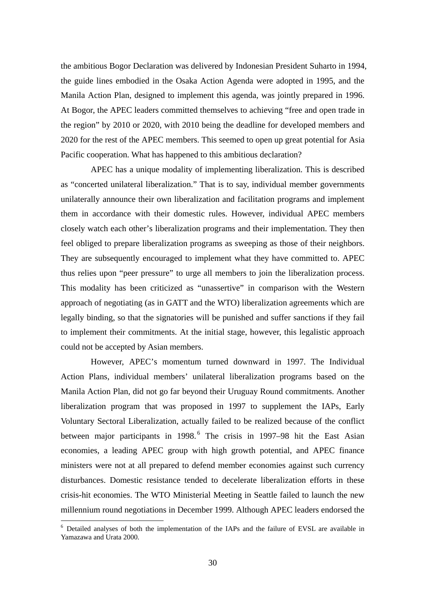the ambitious Bogor Declaration was delivered by Indonesian President Suharto in 1994, the guide lines embodied in the Osaka Action Agenda were adopted in 1995, and the Manila Action Plan, designed to implement this agenda, was jointly prepared in 1996. At Bogor, the APEC leaders committed themselves to achieving "free and open trade in the region" by 2010 or 2020, with 2010 being the deadline for developed members and 2020 for the rest of the APEC members. This seemed to open up great potential for Asia Pacific cooperation. What has happened to this ambitious declaration?

APEC has a unique modality of implementing liberalization. This is described as "concerted unilateral liberalization." That is to say, individual member governments unilaterally announce their own liberalization and facilitation programs and implement them in accordance with their domestic rules. However, individual APEC members closely watch each other's liberalization programs and their implementation. They then feel obliged to prepare liberalization programs as sweeping as those of their neighbors. They are subsequently encouraged to implement what they have committed to. APEC thus relies upon "peer pressure" to urge all members to join the liberalization process. This modality has been criticized as "unassertive" in comparison with the Western approach of negotiating (as in GATT and the WTO) liberalization agreements which are legally binding, so that the signatories will be punished and suffer sanctions if they fail to implement their commitments. At the initial stage, however, this legalistic approach could not be accepted by Asian members.

However, APEC's momentum turned downward in 1997. The Individual Action Plans, individual members' unilateral liberalization programs based on the Manila Action Plan, did not go far beyond their Uruguay Round commitments. Another liberalization program that was proposed in 1997 to supplement the IAPs, Early Voluntary Sectoral Liberalization, actually failed to be realized because of the conflict between major participants in 1998.<sup>6</sup> The crisis in 1997–98 hit the East Asian economies, a leading APEC group with high growth potential, and APEC finance ministers were not at all prepared to defend member economies against such currency disturbances. Domestic resistance tended to decelerate liberalization efforts in these crisis-hit economies. The WTO Ministerial Meeting in Seattle failed to launch the new millennium round negotiations in December 1999. Although APEC leaders endorsed the

 $\overline{a}$ 

<sup>&</sup>lt;sup>6</sup> Detailed analyses of both the implementation of the IAPs and the failure of EVSL are available in Yamazawa and Urata 2000.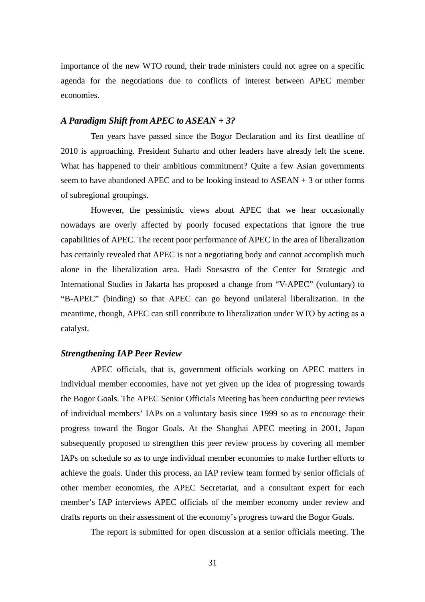importance of the new WTO round, their trade ministers could not agree on a specific agenda for the negotiations due to conflicts of interest between APEC member economies.

## *A Paradigm Shift from APEC to ASEAN + 3?*

Ten years have passed since the Bogor Declaration and its first deadline of 2010 is approaching. President Suharto and other leaders have already left the scene. What has happened to their ambitious commitment? Quite a few Asian governments seem to have abandoned APEC and to be looking instead to  $ASEAN + 3$  or other forms of subregional groupings.

However, the pessimistic views about APEC that we hear occasionally nowadays are overly affected by poorly focused expectations that ignore the true capabilities of APEC. The recent poor performance of APEC in the area of liberalization has certainly revealed that APEC is not a negotiating body and cannot accomplish much alone in the liberalization area. Hadi Soesastro of the Center for Strategic and International Studies in Jakarta has proposed a change from "V-APEC" (voluntary) to "B-APEC" (binding) so that APEC can go beyond unilateral liberalization. In the meantime, though, APEC can still contribute to liberalization under WTO by acting as a catalyst.

## *Strengthening IAP Peer Review*

APEC officials, that is, government officials working on APEC matters in individual member economies, have not yet given up the idea of progressing towards the Bogor Goals. The APEC Senior Officials Meeting has been conducting peer reviews of individual members' IAPs on a voluntary basis since 1999 so as to encourage their progress toward the Bogor Goals. At the Shanghai APEC meeting in 2001, Japan subsequently proposed to strengthen this peer review process by covering all member IAPs on schedule so as to urge individual member economies to make further efforts to achieve the goals. Under this process, an IAP review team formed by senior officials of other member economies, the APEC Secretariat, and a consultant expert for each member's IAP interviews APEC officials of the member economy under review and drafts reports on their assessment of the economy's progress toward the Bogor Goals.

The report is submitted for open discussion at a senior officials meeting. The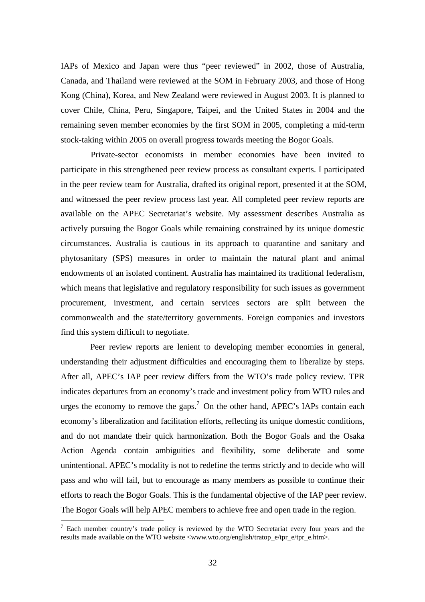IAPs of Mexico and Japan were thus "peer reviewed" in 2002, those of Australia, Canada, and Thailand were reviewed at the SOM in February 2003, and those of Hong Kong (China), Korea, and New Zealand were reviewed in August 2003. It is planned to cover Chile, China, Peru, Singapore, Taipei, and the United States in 2004 and the remaining seven member economies by the first SOM in 2005, completing a mid-term stock-taking within 2005 on overall progress towards meeting the Bogor Goals.

Private-sector economists in member economies have been invited to participate in this strengthened peer review process as consultant experts. I participated in the peer review team for Australia, drafted its original report, presented it at the SOM, and witnessed the peer review process last year. All completed peer review reports are available on the APEC Secretariat's website. My assessment describes Australia as actively pursuing the Bogor Goals while remaining constrained by its unique domestic circumstances. Australia is cautious in its approach to quarantine and sanitary and phytosanitary (SPS) measures in order to maintain the natural plant and animal endowments of an isolated continent. Australia has maintained its traditional federalism, which means that legislative and regulatory responsibility for such issues as government procurement, investment, and certain services sectors are split between the commonwealth and the state/territory governments. Foreign companies and investors find this system difficult to negotiate.

Peer review reports are lenient to developing member economies in general, understanding their adjustment difficulties and encouraging them to liberalize by steps. After all, APEC's IAP peer review differs from the WTO's trade policy review. TPR indicates departures from an economy's trade and investment policy from WTO rules and urges the economy to remove the gaps.<sup>7</sup> On the other hand, APEC's IAPs contain each economy's liberalization and facilitation efforts, reflecting its unique domestic conditions, and do not mandate their quick harmonization. Both the Bogor Goals and the Osaka Action Agenda contain ambiguities and flexibility, some deliberate and some unintentional. APEC's modality is not to redefine the terms strictly and to decide who will pass and who will fail, but to encourage as many members as possible to continue their efforts to reach the Bogor Goals. This is the fundamental objective of the IAP peer review. The Bogor Goals will help APEC members to achieve free and open trade in the region.

 $\overline{a}$ 

 $<sup>7</sup>$  Each member country's trade policy is reviewed by the WTO Secretariat every four years and the</sup> results made available on the WTO website <www.wto.org/english/tratop\_e/tpr\_e/tpr\_e.htm>.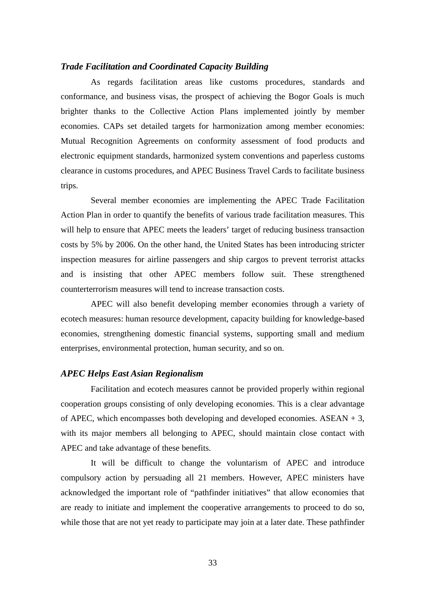## *Trade Facilitation and Coordinated Capacity Building*

As regards facilitation areas like customs procedures, standards and conformance, and business visas, the prospect of achieving the Bogor Goals is much brighter thanks to the Collective Action Plans implemented jointly by member economies. CAPs set detailed targets for harmonization among member economies: Mutual Recognition Agreements on conformity assessment of food products and electronic equipment standards, harmonized system conventions and paperless customs clearance in customs procedures, and APEC Business Travel Cards to facilitate business trips.

Several member economies are implementing the APEC Trade Facilitation Action Plan in order to quantify the benefits of various trade facilitation measures. This will help to ensure that APEC meets the leaders' target of reducing business transaction costs by 5% by 2006. On the other hand, the United States has been introducing stricter inspection measures for airline passengers and ship cargos to prevent terrorist attacks and is insisting that other APEC members follow suit. These strengthened counterterrorism measures will tend to increase transaction costs.

APEC will also benefit developing member economies through a variety of ecotech measures: human resource development, capacity building for knowledge-based economies, strengthening domestic financial systems, supporting small and medium enterprises, environmental protection, human security, and so on.

## *APEC Helps East Asian Regionalism*

Facilitation and ecotech measures cannot be provided properly within regional cooperation groups consisting of only developing economies. This is a clear advantage of APEC, which encompasses both developing and developed economies. ASEAN + 3, with its major members all belonging to APEC, should maintain close contact with APEC and take advantage of these benefits.

It will be difficult to change the voluntarism of APEC and introduce compulsory action by persuading all 21 members. However, APEC ministers have acknowledged the important role of "pathfinder initiatives" that allow economies that are ready to initiate and implement the cooperative arrangements to proceed to do so, while those that are not yet ready to participate may join at a later date. These pathfinder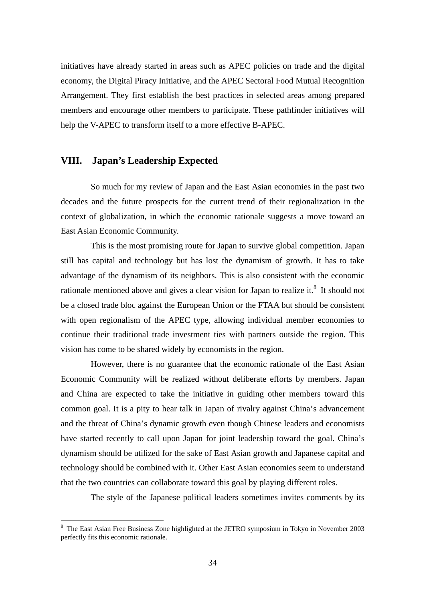initiatives have already started in areas such as APEC policies on trade and the digital economy, the Digital Piracy Initiative, and the APEC Sectoral Food Mutual Recognition Arrangement. They first establish the best practices in selected areas among prepared members and encourage other members to participate. These pathfinder initiatives will help the V-APEC to transform itself to a more effective B-APEC.

# **VIII. Japan's Leadership Expected**

 $\overline{a}$ 

So much for my review of Japan and the East Asian economies in the past two decades and the future prospects for the current trend of their regionalization in the context of globalization, in which the economic rationale suggests a move toward an East Asian Economic Community.

This is the most promising route for Japan to survive global competition. Japan still has capital and technology but has lost the dynamism of growth. It has to take advantage of the dynamism of its neighbors. This is also consistent with the economic rationale mentioned above and gives a clear vision for Japan to realize it.<sup>8</sup> It should not be a closed trade bloc against the European Union or the FTAA but should be consistent with open regionalism of the APEC type, allowing individual member economies to continue their traditional trade investment ties with partners outside the region. This vision has come to be shared widely by economists in the region.

However, there is no guarantee that the economic rationale of the East Asian Economic Community will be realized without deliberate efforts by members. Japan and China are expected to take the initiative in guiding other members toward this common goal. It is a pity to hear talk in Japan of rivalry against China's advancement and the threat of China's dynamic growth even though Chinese leaders and economists have started recently to call upon Japan for joint leadership toward the goal. China's dynamism should be utilized for the sake of East Asian growth and Japanese capital and technology should be combined with it. Other East Asian economies seem to understand that the two countries can collaborate toward this goal by playing different roles.

The style of the Japanese political leaders sometimes invites comments by its

<sup>&</sup>lt;sup>8</sup> The East Asian Free Business Zone highlighted at the JETRO symposium in Tokyo in November 2003 perfectly fits this economic rationale.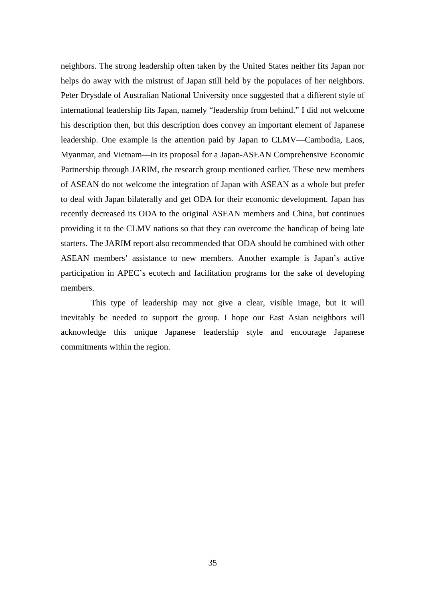neighbors. The strong leadership often taken by the United States neither fits Japan nor helps do away with the mistrust of Japan still held by the populaces of her neighbors. Peter Drysdale of Australian National University once suggested that a different style of international leadership fits Japan, namely "leadership from behind." I did not welcome his description then, but this description does convey an important element of Japanese leadership. One example is the attention paid by Japan to CLMV—Cambodia, Laos, Myanmar, and Vietnam—in its proposal for a Japan-ASEAN Comprehensive Economic Partnership through JARIM, the research group mentioned earlier. These new members of ASEAN do not welcome the integration of Japan with ASEAN as a whole but prefer to deal with Japan bilaterally and get ODA for their economic development. Japan has recently decreased its ODA to the original ASEAN members and China, but continues providing it to the CLMV nations so that they can overcome the handicap of being late starters. The JARIM report also recommended that ODA should be combined with other ASEAN members' assistance to new members. Another example is Japan's active participation in APEC's ecotech and facilitation programs for the sake of developing members.

This type of leadership may not give a clear, visible image, but it will inevitably be needed to support the group. I hope our East Asian neighbors will acknowledge this unique Japanese leadership style and encourage Japanese commitments within the region.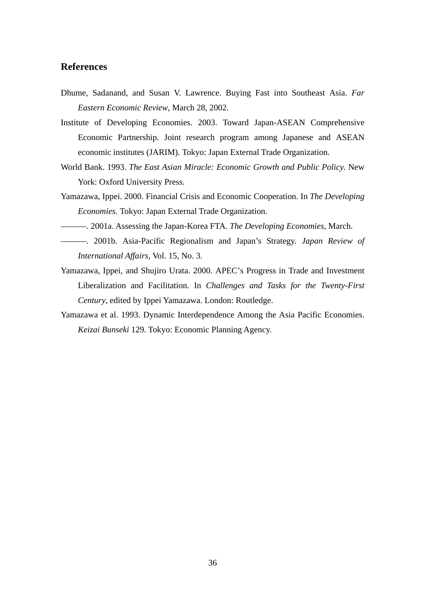# **References**

- Dhume, Sadanand, and Susan V. Lawrence. Buying Fast into Southeast Asia. *Far Eastern Economic Review*, March 28, 2002.
- Institute of Developing Economies. 2003. Toward Japan-ASEAN Comprehensive Economic Partnership. Joint research program among Japanese and ASEAN economic institutes (JARIM). Tokyo: Japan External Trade Organization.
- World Bank. 1993. *The East Asian Miracle: Economic Growth and Public Policy*. New York: Oxford University Press.
- Yamazawa, Ippei. 2000. Financial Crisis and Economic Cooperation. In *The Developing Economies*. Tokyo: Japan External Trade Organization.
- ———. 2001a. Assessing the Japan-Korea FTA. *The Developing Economies*, March.
- ———. 2001b. Asia-Pacific Regionalism and Japan's Strategy. *Japan Review of International Affairs*, Vol. 15, No. 3.
- Yamazawa, Ippei, and Shujiro Urata. 2000. APEC's Progress in Trade and Investment Liberalization and Facilitation. In *Challenges and Tasks for the Twenty-First Century*, edited by Ippei Yamazawa. London: Routledge.
- Yamazawa et al. 1993. Dynamic Interdependence Among the Asia Pacific Economies. *Keizai Bunseki* 129. Tokyo: Economic Planning Agency.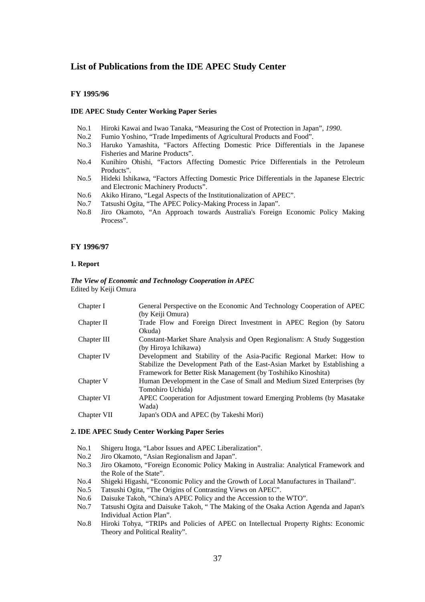## **List of Publications from the IDE APEC Study Center**

### **FY 1995/96**

#### **IDE APEC Study Center Working Paper Series**

- No.1 Hiroki Kawai and Iwao Tanaka, "Measuring the Cost of Protection in Japan"*, 1990*.
- No.2 Fumio Yoshino, "Trade Impediments of Agricultural Products and Food".
- No.3 Haruko Yamashita, "Factors Affecting Domestic Price Differentials in the Japanese Fisheries and Marine Products".
- No.4 Kunihiro Ohishi, "Factors Affecting Domestic Price Differentials in the Petroleum Products".
- No.5 Hideki Ishikawa, "Factors Affecting Domestic Price Differentials in the Japanese Electric and Electronic Machinery Products".
- No.6 Akiko Hirano, "Legal Aspects of the Institutionalization of APEC".
- No.7 Tatsushi Ogita, "The APEC Policy-Making Process in Japan".
- No.8 Jiro Okamoto, "An Approach towards Australia's Foreign Economic Policy Making Process".

#### **FY 1996/97**

#### **1. Report**

#### *The View of Economic and Technology Cooperation in APEC*  Edited by Keiji Omura

| Chapter I   | General Perspective on the Economic And Technology Cooperation of APEC    |
|-------------|---------------------------------------------------------------------------|
|             | (by Keiji Omura)                                                          |
| Chapter II  | Trade Flow and Foreign Direct Investment in APEC Region (by Satoru        |
|             | Okuda)                                                                    |
| Chapter III | Constant-Market Share Analysis and Open Regionalism: A Study Suggestion   |
|             | (by Hiroya Ichikawa)                                                      |
| Chapter IV  | Development and Stability of the Asia-Pacific Regional Market: How to     |
|             | Stabilize the Development Path of the East-Asian Market by Establishing a |
|             | Framework for Better Risk Management (by Toshihiko Kinoshita)             |
| Chapter V   | Human Development in the Case of Small and Medium Sized Enterprises (by   |
|             | Tomohiro Uchida)                                                          |
| Chapter VI  | APEC Cooperation for Adjustment toward Emerging Problems (by Masatake)    |
|             | Wada)                                                                     |
| Chapter VII | Japan's ODA and APEC (by Takeshi Mori)                                    |
|             |                                                                           |

#### **2. IDE APEC Study Center Working Paper Series**

- No.1 Shigeru Itoga, "Labor Issues and APEC Liberalization".
- No.2 Jiro Okamoto, "Asian Regionalism and Japan".
- No.3 Jiro Okamoto, "Foreign Economic Policy Making in Australia: Analytical Framework and the Role of the State".
- No.4 Shigeki Higashi, "Economic Policy and the Growth of Local Manufactures in Thailand".
- No.5 Tatsushi Ogita, "The Origins of Contrasting Views on APEC".
- No.6 Daisuke Takoh, "China's APEC Policy and the Accession to the WTO".
- No.7 Tatsushi Ogita and Daisuke Takoh, " The Making of the Osaka Action Agenda and Japan's Individual Action Plan".
- No.8 Hiroki Tohya, "TRIPs and Policies of APEC on Intellectual Property Rights: Economic Theory and Political Reality".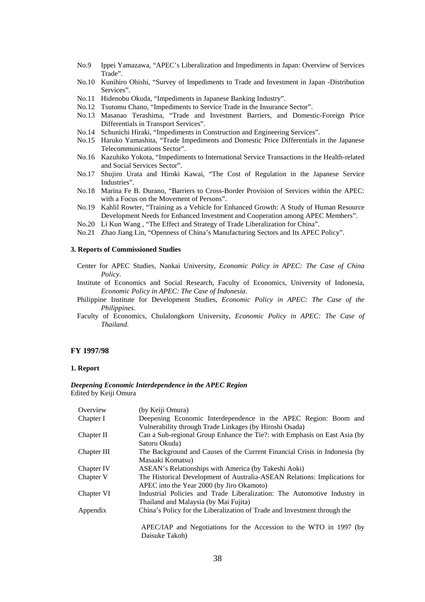- No.9 Ippei Yamazawa, "APEC's Liberalization and Impediments in Japan: Overview of Services Trade".
- No.10 Kunihiro Ohishi, "Survey of Impediments to Trade and Investment in Japan -Distribution Services".
- No.11 Hidenobu Okuda, "Impediments in Japanese Banking Industry".
- No.12 Tsutomu Chano, "Impediments to Service Trade in the Insurance Sector".
- No.13 Masanao Terashima, "Trade and Investment Barriers, and Domestic-Foreign Price Differentials in Transport Services".
- No.14 Schunichi Hiraki, "Impediments in Construction and Engineering Services".
- No.15 Haruko Yamashita, "Trade Impediments and Domestic Price Differentials in the Japanese Telecommunications Sector".
- No.16 Kazuhiko Yokota, "Impediments to International Service Transactions in the Health-related and Social Services Sector".
- No.17 Shujiro Urata and Hiroki Kawai, "The Cost of Regulation in the Japanese Service Industries".
- No.18 Marina Fe B. Durano, "Barriers to Cross-Border Provision of Services within the APEC: with a Focus on the Movement of Persons".
- No.19 Kahlil Rowter, "Training as a Vehicle for Enhanced Growth: A Study of Human Resource Development Needs for Enhanced Investment and Cooperation among APEC Members".
- No.20 Li Kun Wang , "The Effect and Strategy of Trade Liberalization for China".
- No.21 Zhao Jiang Lin, "Openness of China's Manufacturing Sectors and Its APEC Policy".

## **3. Reports of Commissioned Studies**

- Center for APEC Studies, Nankai University, *Economic Policy in APEC: The Case of China Policy*.
- Institute of Economics and Social Research, Faculty of Economics, University of Indonesia, *Economic Policy in APEC: The Case of Indonesia*.
- Philippine Institute for Development Studies, *Economic Policy in APEC: The Case of the Philippines*.
- Faculty of Economics, Chulalongkorn University, *Economic Policy in APEC: The Case of Thailand*.

#### **FY 1997/98**

#### **1. Report**

#### *Deepening Economic Interdependence in the APEC Region*  Edited by Keiji Omura

| Overview    | (by Keiji Omura)                                                           |
|-------------|----------------------------------------------------------------------------|
| Chapter I   | Deepening Economic Interdependence in the APEC Region: Boom and            |
|             | Vulnerability through Trade Linkages (by Hiroshi Osada)                    |
| Chapter II  | Can a Sub-regional Group Enhance the Tie?: with Emphasis on East Asia (by  |
|             | Satoru Okuda)                                                              |
| Chapter III | The Background and Causes of the Current Financial Crisis in Indonesia (by |
|             | Masaaki Komatsu)                                                           |
| Chapter IV  | ASEAN's Relationships with America (by Takeshi Aoki)                       |
| Chapter V   | The Historical Development of Australia-ASEAN Relations: Implications for  |
|             | APEC into the Year 2000 (by Jiro Okamoto)                                  |
| Chapter VI  | Industrial Policies and Trade Liberalization: The Automotive Industry in   |
|             | Thailand and Malaysia (by Mai Fujita)                                      |
| Appendix    | China's Policy for the Liberalization of Trade and Investment through the  |
|             | APEC/IAP and Negotiations for the Accession to the WTO in 1997 (by         |
|             |                                                                            |
|             | Daisuke Takoh)                                                             |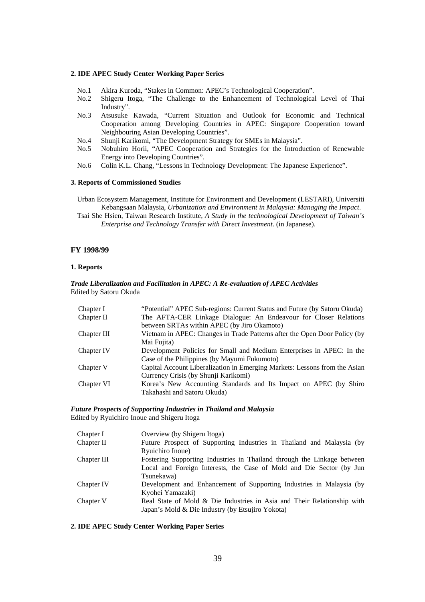#### **2. IDE APEC Study Center Working Paper Series**

- No.1 Akira Kuroda, "Stakes in Common: APEC's Technological Cooperation".
- No.2 Shigeru Itoga, "The Challenge to the Enhancement of Technological Level of Thai Industry".
- No.3 Atsusuke Kawada, "Current Situation and Outlook for Economic and Technical Cooperation among Developing Countries in APEC: Singapore Cooperation toward Neighbouring Asian Developing Countries".
- No.4 Shunji Karikomi, "The Development Strategy for SMEs in Malaysia".
- No.5 Nobuhiro Horii, "APEC Cooperation and Strategies for the Introduction of Renewable Energy into Developing Countries".
- No.6 Colin K.L. Chang, "Lessons in Technology Development: The Japanese Experience".

#### **3. Reports of Commissioned Studies**

Urban Ecosystem Management, Institute for Environment and Development (LESTARI), Universiti Kebangsaan Malaysia, *Urbanization and Environment in Malaysia: Managing the Impact*. Tsai She Hsien, Taiwan Research Institute, *A Study in the technological Development of Taiwan's Enterprise and Technology Transfer with Direct Investment*. (in Japanese).

#### **FY 1998/99**

#### **1. Reports**

#### *Trade Liberalization and Facilitation in APEC: A Re-evaluation of APEC Activities*  Edited by Satoru Okuda

| Chapter I   | "Potential" APEC Sub-regions: Current Status and Future (by Satoru Okuda)  |
|-------------|----------------------------------------------------------------------------|
| Chapter II  | The AFTA-CER Linkage Dialogue: An Endeavour for Closer Relations           |
|             | between SRTAs within APEC (by Jiro Okamoto)                                |
| Chapter III | Vietnam in APEC: Changes in Trade Patterns after the Open Door Policy (by  |
|             | Mai Fujita)                                                                |
| Chapter IV  | Development Policies for Small and Medium Enterprises in APEC: In the      |
|             | Case of the Philippines (by Mayumi Fukumoto)                               |
| Chapter V   | Capital Account Liberalization in Emerging Markets: Lessons from the Asian |
|             | Currency Crisis (by Shunji Karikomi)                                       |
| Chapter VI  | Korea's New Accounting Standards and Its Impact on APEC (by Shiro          |
|             | Takahashi and Satoru Okuda)                                                |

*Future Prospects of Supporting Industries in Thailand and Malaysia* 

Edited by Ryuichiro Inoue and Shigeru Itoga

| Chapter I   | Overview (by Shigeru Itoga)                                             |
|-------------|-------------------------------------------------------------------------|
| Chapter II  | Future Prospect of Supporting Industries in Thailand and Malaysia (by   |
|             | Ryuichiro Inoue)                                                        |
| Chapter III | Fostering Supporting Industries in Thailand through the Linkage between |
|             | Local and Foreign Interests, the Case of Mold and Die Sector (by Jun    |
|             | Tsunekawa)                                                              |
| Chapter IV  | Development and Enhancement of Supporting Industries in Malaysia (by    |
|             | Kyohei Yamazaki)                                                        |
| Chapter V   | Real State of Mold & Die Industries in Asia and Their Relationship with |
|             | Japan's Mold & Die Industry (by Etsujiro Yokota)                        |
|             |                                                                         |

#### **2. IDE APEC Study Center Working Paper Series**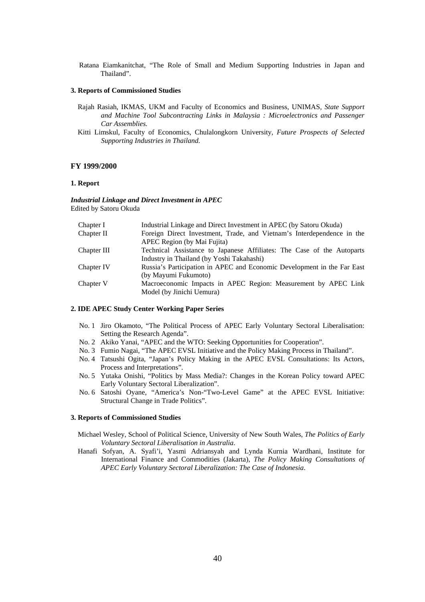Ratana Eiamkanitchat, "The Role of Small and Medium Supporting Industries in Japan and Thailand".

#### **3. Reports of Commissioned Studies**

- Rajah Rasiah, IKMAS, UKM and Faculty of Economics and Business, UNIMAS*, State Support and Machine Tool Subcontracting Links in Malaysia : Microelectronics and Passenger Car Assemblies.*
- Kitti Limskul, Faculty of Economics, Chulalongkorn University*, Future Prospects of Selected Supporting Industries in Thailand.*

#### **FY 1999/2000**

### **1. Report**

*Industrial Linkage and Direct Investment in APEC*  Edited by Satoru Okuda

| Chapter I   | Industrial Linkage and Direct Investment in APEC (by Satoru Okuda)      |
|-------------|-------------------------------------------------------------------------|
| Chapter II  | Foreign Direct Investment, Trade, and Vietnam's Interdependence in the  |
|             | APEC Region (by Mai Fujita)                                             |
| Chapter III | Technical Assistance to Japanese Affiliates: The Case of the Autoparts  |
|             | Industry in Thailand (by Yoshi Takahashi)                               |
| Chapter IV  | Russia's Participation in APEC and Economic Development in the Far East |
|             | (by Mayumi Fukumoto)                                                    |
| Chapter V   | Macroeconomic Impacts in APEC Region: Measurement by APEC Link          |
|             | Model (by Jinichi Uemura)                                               |

#### **2. IDE APEC Study Center Working Paper Series**

- No. 1 Jiro Okamoto, "The Political Process of APEC Early Voluntary Sectoral Liberalisation: Setting the Research Agenda".
- No. 2 Akiko Yanai, "APEC and the WTO: Seeking Opportunities for Cooperation".
- No. 3 Fumio Nagai, "The APEC EVSL Initiative and the Policy Making Process in Thailand".
- No. 4 Tatsushi Ogita, "Japan's Policy Making in the APEC EVSL Consultations: Its Actors, Process and Interpretations".
- No. 5 Yutaka Onishi, "Politics by Mass Media?: Changes in the Korean Policy toward APEC Early Voluntary Sectoral Liberalization".
- No. 6 Satoshi Oyane, "America's Non-"Two-Level Game" at the APEC EVSL Initiative: Structural Change in Trade Politics".

#### **3. Reports of Commissioned Studies**

- Michael Wesley, School of Political Science, University of New South Wales, *The Politics of Early Voluntary Sectoral Liberalisation in Australia*.
- Hanafi Sofyan, A. Syafi'i, Yasmi Adriansyah and Lynda Kurnia Wardhani, Institute for International Finance and Commodities (Jakarta), *The Policy Making Consultations of APEC Early Voluntary Sectoral Liberalization: The Case of Indonesia*.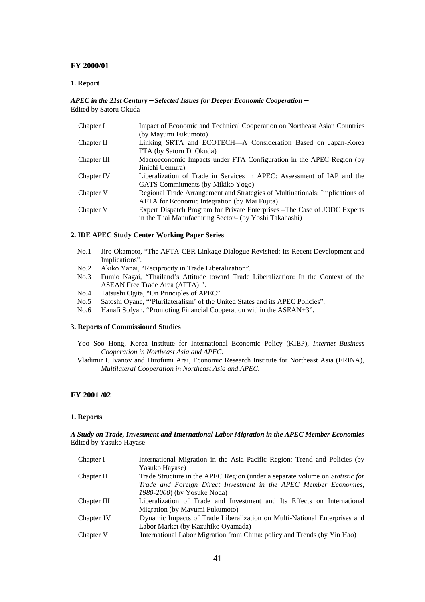### **FY 2000/01**

#### **1. Report**

### *APEC in the 21st Century*-*Selected Issues for Deeper Economic Cooperation*- Edited by Satoru Okuda

| Chapter I   | Impact of Economic and Technical Cooperation on Northeast Asian Countries    |
|-------------|------------------------------------------------------------------------------|
|             | (by Mayumi Fukumoto)                                                         |
| Chapter II  | Linking SRTA and ECOTECH-A Consideration Based on Japan-Korea                |
|             | FTA (by Satoru D. Okuda)                                                     |
| Chapter III | Macroeconomic Impacts under FTA Configuration in the APEC Region (by         |
|             | Jinichi Uemura)                                                              |
| Chapter IV  | Liberalization of Trade in Services in APEC: Assessment of IAP and the       |
|             | GATS Commitments (by Mikiko Yogo)                                            |
| Chapter V   | Regional Trade Arrangement and Strategies of Multinationals: Implications of |
|             | <b>AFTA</b> for Economic Integration (by Mai Fujita)                         |
| Chapter VI  | Expert Dispatch Program for Private Enterprises – The Case of JODC Experts   |
|             | in the Thai Manufacturing Sector- (by Yoshi Takahashi)                       |

#### **2. IDE APEC Study Center Working Paper Series**

- No.1 Jiro Okamoto, "The AFTA-CER Linkage Dialogue Revisited: Its Recent Development and Implications".
- No.2 Akiko Yanai, "Reciprocity in Trade Liberalization".
- No.3 Fumio Nagai, "Thailand's Attitude toward Trade Liberalization: In the Context of the ASEAN Free Trade Area (AFTA) ".
- No.4 Tatsushi Ogita, "On Principles of APEC".
- No.5 Satoshi Oyane, "'Plurilateralism' of the United States and its APEC Policies".
- No.6 Hanafi Sofyan, "Promoting Financial Cooperation within the ASEAN+3".

#### **3. Reports of Commissioned Studies**

- Yoo Soo Hong, Korea Institute for International Economic Policy (KIEP), *Internet Business Cooperation in Northeast Asia and APEC*.
- Vladimir I. Ivanov and Hirofumi Arai, Economic Research Institute for Northeast Asia (ERINA), *Multilateral Cooperation in Northeast Asia and APEC*.

## **FY 2001 /02**

#### **1. Reports**

### *A Study on Trade, Investment and International Labor Migration in the APEC Member Economies*  Edited by Yasuko Hayase

| Chapter I   | International Migration in the Asia Pacific Region: Trend and Policies (by          |
|-------------|-------------------------------------------------------------------------------------|
|             | Yasuko Hayase)                                                                      |
| Chapter II  | Trade Structure in the APEC Region (under a separate volume on <i>Statistic for</i> |
|             | Trade and Foreign Direct Investment in the APEC Member Economies,                   |
|             | 1980-2000) (by Yosuke Noda)                                                         |
| Chapter III | Liberalization of Trade and Investment and Its Effects on International             |
|             | Migration (by Mayumi Fukumoto)                                                      |
| Chapter IV  | Dynamic Impacts of Trade Liberalization on Multi-National Enterprises and           |
|             | Labor Market (by Kazuhiko Oyamada)                                                  |
| Chapter V   | International Labor Migration from China: policy and Trends (by Yin Hao)            |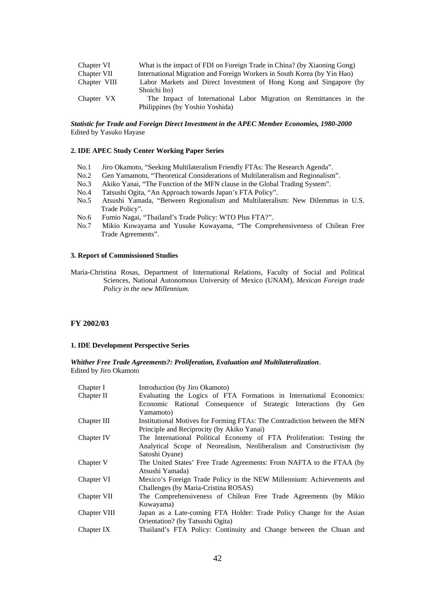| Chapter VI   | What is the impact of FDI on Foreign Trade in China? (by Xiaoning Gong) |
|--------------|-------------------------------------------------------------------------|
| Chapter VII  | International Migration and Foreign Workers in South Korea (by Yin Hao) |
| Chapter VIII | Labor Markets and Direct Investment of Hong Kong and Singapore (by      |
|              | Shoichi Ito)                                                            |
| Chapter VX   | The Impact of International Labor Migration on Remittances in the       |
|              | Philippines (by Yoshio Yoshida)                                         |

#### *Statistic for Trade and Foreign Direct Investment in the APEC Member Economies, 1980-2000*  Edited by Yasuko Hayase

#### **2. IDE APEC Study Center Working Paper Series**

- No.1 Jiro Okamoto, "Seeking Multilateralism Friendly FTAs: The Research Agenda".
- No.2 Gen Yamamoto, "Theoretical Considerations of Multilateralism and Regionalism".
- No.3 Akiko Yanai, "The Function of the MFN clause in the Global Trading System".
- No.4 Tatsushi Ogita, "An Approach towards Japan's FTA Policy".
- No.5 Atsushi Yamada, "Between Regionalism and Multilateralism: New Dilemmas in U.S. Trade Policy".
- No.6 Fumio Nagai, "Thailand's Trade Policy: WTO Plus FTA?".
- No.7 Mikio Kuwayama and Yusuke Kuwayama, "The Comprehensiveness of Chilean Free Trade Agreements".

#### **3. Report of Commissioned Studies**

Maria-Christina Rosas, Department of International Relations, Faculty of Social and Political Sciences, National Autonomous University of Mexico (UNAM), *Mexican Foreign trade Policy in the new Millennium.*

#### **FY 2002/03**

#### **1. IDE Development Perspective Series**

*Whither Free Trade Agreements?: Proliferation, Evaluation and Multilateralization*. Edited by Jiro Okamoto

| Chapter I    | Introduction (by Jiro Okamoto)                                            |
|--------------|---------------------------------------------------------------------------|
| Chapter II   | Evaluating the Logics of FTA Formations in International Economics:       |
|              | Economic Rational Consequence of Strategic Interactions (by Gen           |
|              | Yamamoto)                                                                 |
| Chapter III  | Institutional Motives for Forming FTAs: The Contradiction between the MFN |
|              | Principle and Reciprocity (by Akiko Yanai)                                |
| Chapter IV   | The International Political Economy of FTA Proliferation: Testing the     |
|              | Analytical Scope of Neorealism, Neoliberalism and Constructivism (by      |
|              | Satoshi Oyane)                                                            |
| Chapter V    | The United States' Free Trade Agreements: From NAFTA to the FTAA (by)     |
|              | Atsushi Yamada)                                                           |
| Chapter VI   | Mexico's Foreign Trade Policy in the NEW Millennium: Achievements and     |
|              | Challenges (by Maria-Cristina ROSAS)                                      |
| Chapter VII  | The Comprehensiveness of Chilean Free Trade Agreements (by Mikio          |
|              | Kuwayama)                                                                 |
| Chapter VIII | Japan as a Late-coming FTA Holder: Trade Policy Change for the Asian      |
|              | Orientation? (by Tatsushi Ogita)                                          |
| Chapter IX   | Thailand's FTA Policy: Continuity and Change between the Chuan and        |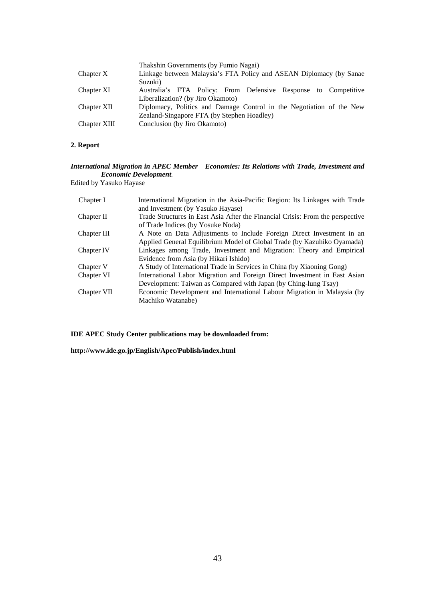| Chapter X    | Thakshin Governments (by Fumio Nagai)<br>Linkage between Malaysia's FTA Policy and ASEAN Diplomacy (by Sanae       |
|--------------|--------------------------------------------------------------------------------------------------------------------|
| Chapter XI   | Suzuki)<br>Australia's FTA Policy: From Defensive Response to Competitive                                          |
|              | Liberalization? (by Jiro Okamoto)                                                                                  |
| Chapter XII  | Diplomacy, Politics and Damage Control in the Negotiation of the New<br>Zealand-Singapore FTA (by Stephen Hoadley) |
| Chapter XIII | Conclusion (by Jiro Okamoto)                                                                                       |

## **2. Report**

## *International Migration in APEC Member Economies: Its Relations with Trade, Investment and Economic Development.*

Edited by Yasuko Hayase

| Chapter I   | International Migration in the Asia-Pacific Region: Its Linkages with Trade<br>and Investment (by Yasuko Hayase) |
|-------------|------------------------------------------------------------------------------------------------------------------|
| Chapter II  | Trade Structures in East Asia After the Financial Crisis: From the perspective                                   |
|             | of Trade Indices (by Yosuke Noda)                                                                                |
| Chapter III | A Note on Data Adjustments to Include Foreign Direct Investment in an                                            |
|             | Applied General Equilibrium Model of Global Trade (by Kazuhiko Oyamada)                                          |
| Chapter IV  | Linkages among Trade, Investment and Migration: Theory and Empirical                                             |
|             | Evidence from Asia (by Hikari Ishido)                                                                            |
| Chapter V   | A Study of International Trade in Services in China (by Xiaoning Gong)                                           |
| Chapter VI  | International Labor Migration and Foreign Direct Investment in East Asian                                        |
|             | Development: Taiwan as Compared with Japan (by Ching-lung Tsay)                                                  |
| Chapter VII | Economic Development and International Labour Migration in Malaysia (by                                          |
|             | Machiko Watanabe)                                                                                                |

## **IDE APEC Study Center publications may be downloaded from:**

**http://www.ide.go.jp/English/Apec/Publish/index.html**